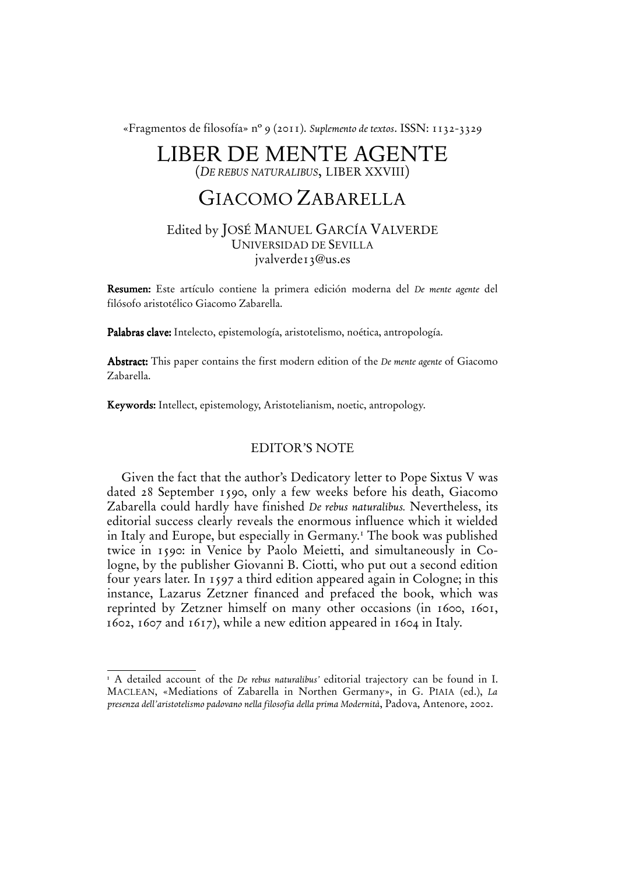«Fragmentos de filosofía» nº 9 (2011). *Suplemento de textos*. ISSN: 1132-3329

# LIBER DE MENTE AGENTE

(*DE REBUS NATURALIBUS*, LIBER XXVIII)

# GIACOMO ZABARELLA

# Edited by JOSÉ MANUEL GARCÍA VALVERDE UNIVERSIDAD DE SEVILLA jvalverde13@us.es

Resumen: Este artículo contiene la primera edición moderna del *De mente agente* del filósofo aristotélico Giacomo Zabarella.

Palabras clave: Intelecto, epistemología, aristotelismo, noética, antropología.

Abstract:This paper contains the first modern edition of the *De mente agente* of Giacomo Zabarella.

Keywords: Intellect, epistemology, Aristotelianism, noetic, antropology.

# EDITOR'S NOTE

Given the fact that the author's Dedicatory letter to Pope Sixtus V was dated 28 September 1590, only a few weeks before his death, Giacomo Zabarella could hardly have finished *De rebus naturalibus.* Nevertheless, its editorial success clearly reveals the enormous influence which it wielded in Italy and Europe, but especially in Germany.<sup>1</sup> The book was published twice in 1590: in Venice by Paolo Meietti, and simultaneously in Cologne, by the publisher Giovanni B. Ciotti, who put out a second edition four years later. In 1597 a third edition appeared again in Cologne; in this instance, Lazarus Zetzner financed and prefaced the book, which was reprinted by Zetzner himself on many other occasions (in 1600, 1601, 1602, 1607 and 1617), while a new edition appeared in 1604 in Italy.

<sup>1</sup> A detailed account of the *De rebus naturalibus'* editorial trajectory can be found in I. MACLEAN, «Mediations of Zabarella in Northen Germany», in G. PIAIA (ed.), *La presenza dell'aristotelismo padovano nella filosofia della prima Modernità*, Padova, Antenore, 2002.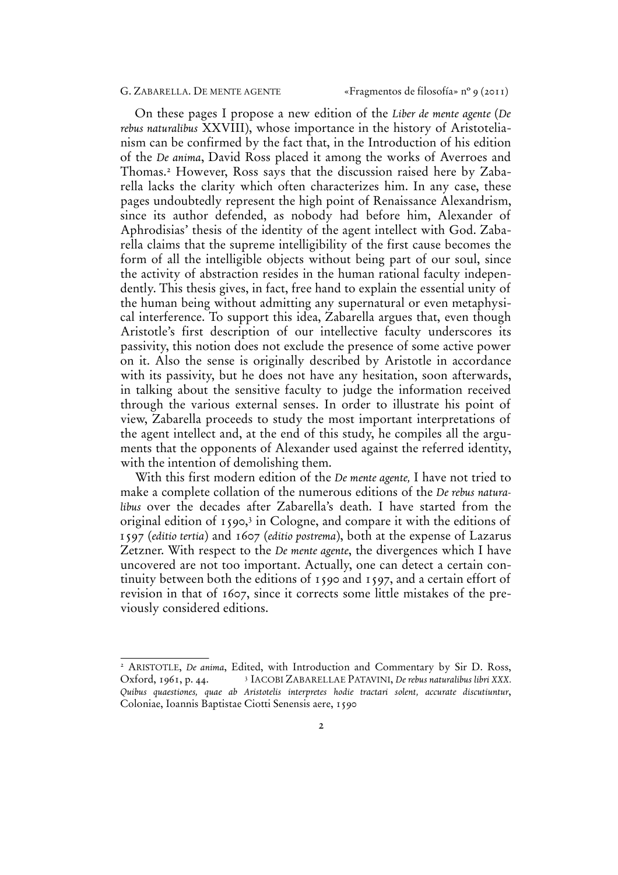#### G. ZABARELLA. DE MENTE AGENTE«Fragmentos de filosofía» nº 9 (2011)

On these pages I propose a new edition of the *Liber de mente agente* (*De rebus naturalibus* XXVIII), whose importance in the history of Aristotelianism can be confirmed by the fact that, in the Introduction of his edition of the *De anima*, David Ross placed it among the works of Averroes and Thomas.<sup>2</sup> However, Ross says that the discussion raised here by Zabarella lacks the clarity which often characterizes him. In any case, these pages undoubtedly represent the high point of Renaissance Alexandrism, since its author defended, as nobody had before him, Alexander of Aphrodisias' thesis of the identity of the agent intellect with God. Zabarella claims that the supreme intelligibility of the first cause becomes the form of all the intelligible objects without being part of our soul, since the activity of abstraction resides in the human rational faculty independently. This thesis gives, in fact, free hand to explain the essential unity of the human being without admitting any supernatural or even metaphysical interference. To support this idea, Zabarella argues that, even though Aristotle's first description of our intellective faculty underscores its passivity, this notion does not exclude the presence of some active power on it. Also the sense is originally described by Aristotle in accordance with its passivity, but he does not have any hesitation, soon afterwards, in talking about the sensitive faculty to judge the information received through the various external senses. In order to illustrate his point of view, Zabarella proceeds to study the most important interpretations of the agent intellect and, at the end of this study, he compiles all the arguments that the opponents of Alexander used against the referred identity, with the intention of demolishing them.

With this first modern edition of the *De mente agente,* I have not tried to make a complete collation of the numerous editions of the *De rebus naturalibus* over the decades after Zabarella's death. I have started from the original edition of 1590,<sup>3</sup> in Cologne, and compare it with the editions of 1597 (*editio tertia*) and 1607 (*editio postrema*), both at the expense of Lazarus Zetzner. With respect to the *De mente agente*, the divergences which I have uncovered are not too important. Actually, one can detect a certain continuity between both the editions of 1590 and 1597, and a certain effort of revision in that of 1607, since it corrects some little mistakes of the previously considered editions.

<sup>2</sup> ARISTOTLE, *De anima*, Edited, with Introduction and Commentary by Sir D. Ross, Oxford, 1961, p. 44. 3 IACOBI ZABARELLAE PATAVINI, *De rebus naturalibus libri XXX. Quibus quaestiones, quae ab Aristotelis interpretes hodie tractari solent, accurate discutiuntur*, Coloniae, Ioannis Baptistae Ciotti Senensis aere, 1590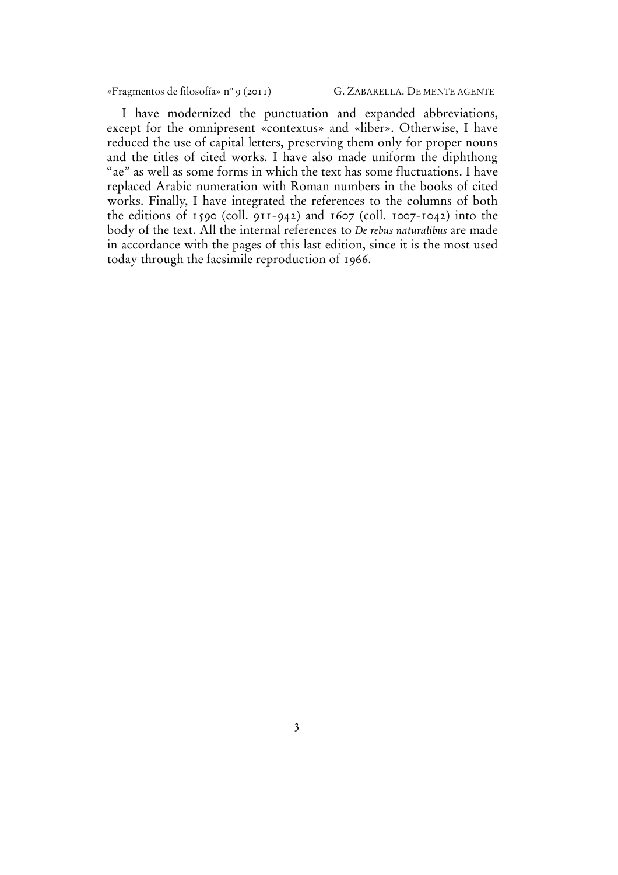I have modernized the punctuation and expanded abbreviations, except for the omnipresent «contextus» and «liber». Otherwise, I have reduced the use of capital letters, preserving them only for proper nouns and the titles of cited works. I have also made uniform the diphthong "ae" as well as some forms in which the text has some fluctuations. I have replaced Arabic numeration with Roman numbers in the books of cited works. Finally, I have integrated the references to the columns of both the editions of 1590 (coll. 911-942) and 1607 (coll. 1007-1042) into the body of the text. All the internal references to *De rebus naturalibus* are made in accordance with the pages of this last edition, since it is the most used today through the facsimile reproduction of 1966.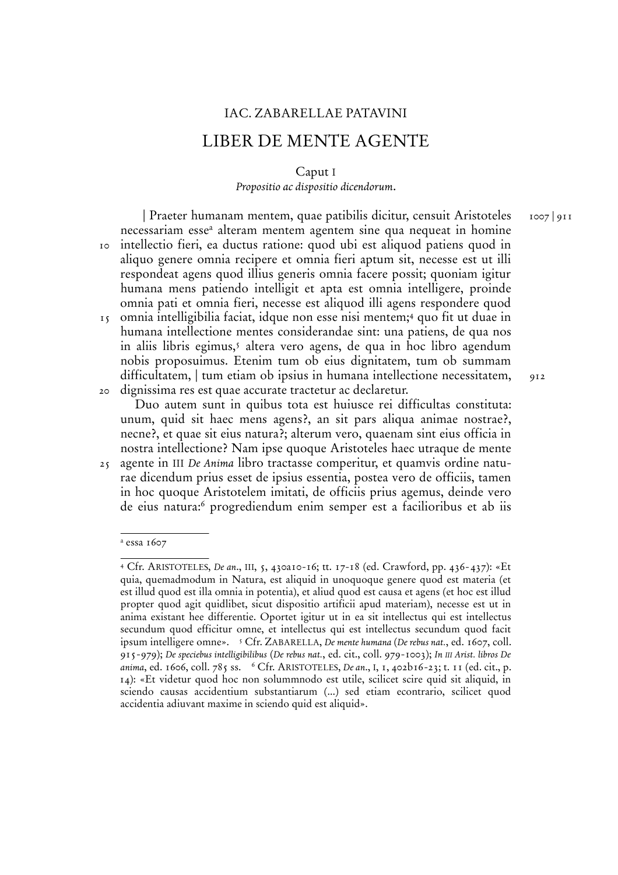# IAC. ZABARELLAE PATAVINI LIBER DE MENTE AGENTE

# Caput I *Propositio ac dispositio dicendorum*.

 | Praeter humanam mentem, quae patibilis dicitur, censuit Aristoteles 1007 | 911 necessariam esse<sup>a</sup> alteram mentem agentem sine qua nequeat in homine

- 10 intellectio fieri, ea ductus ratione: quod ubi est aliquod patiens quod in aliquo genere omnia recipere et omnia fieri aptum sit, necesse est ut illi respondeat agens quod illius generis omnia facere possit; quoniam igitur humana mens patiendo intelligit et apta est omnia intelligere, proinde omnia pati et omnia fieri, necesse est aliquod illi agens respondere quod
- $_{15}$  omnia intelligibilia faciat, idque non esse nisi mentem;<sup>4</sup> quo fit ut duae in humana intellectione mentes considerandae sint: una patiens, de qua nos in aliis libris egimus,5 altera vero agens, de qua in hoc libro agendum nobis proposuimus. Etenim tum ob eius dignitatem, tum ob summam difficultatem, | tum etiam ob ipsius in humana intellectione necessitatem, 912 20 dignissima res est quae accurate tractetur ac declaretur.

Duo autem sunt in quibus tota est huiusce rei difficultas constituta: unum, quid sit haec mens agens?, an sit pars aliqua animae nostrae?, necne?, et quae sit eius natura?; alterum vero, quaenam sint eius officia in nostra intellectione? Nam ipse quoque Aristoteles haec utraque de mente

25 agente in III *De Anima* libro tractasse comperitur, et quamvis ordine naturae dicendum prius esset de ipsius essentia, postea vero de officiis, tamen in hoc quoque Aristotelem imitati, de officiis prius agemus, deinde vero de eius natura:<sup>6</sup> progrediendum enim semper est a facilioribus et ab iis

<sup>&</sup>lt;sup>a</sup> essa 1607

<sup>4</sup> Cfr. ARISTOTELES, *De an*., III, 5, 430a10-16; tt. 17-18 (ed. Crawford, pp. 436-437): «Et quia, quemadmodum in Natura, est aliquid in unoquoque genere quod est materia (et est illud quod est illa omnia in potentia), et aliud quod est causa et agens (et hoc est illud propter quod agit quidlibet, sicut dispositio artificii apud materiam), necesse est ut in anima existant hee differentie. Oportet igitur ut in ea sit intellectus qui est intellectus secundum quod efficitur omne, et intellectus qui est intellectus secundum quod facit ipsum intelligere omne». 5 Cfr. ZABARELLA, *De mente humana* (*De rebus nat.*, ed. 1607, coll. 915-979); *De speciebus intelligibilibus* (*De rebus nat.*, ed. cit., coll. 979-1003); *In III Arist. libros De anima*, ed. 1606, coll. 785 ss. 6 Cfr. ARISTOTELES, *De an*., I, 1, 402b16-23; t. 11 (ed. cit., p. 14): «Et videtur quod hoc non solummnodo est utile, scilicet scire quid sit aliquid, in sciendo causas accidentium substantiarum (...) sed etiam econtrario, scilicet quod accidentia adiuvant maxime in sciendo quid est aliquid».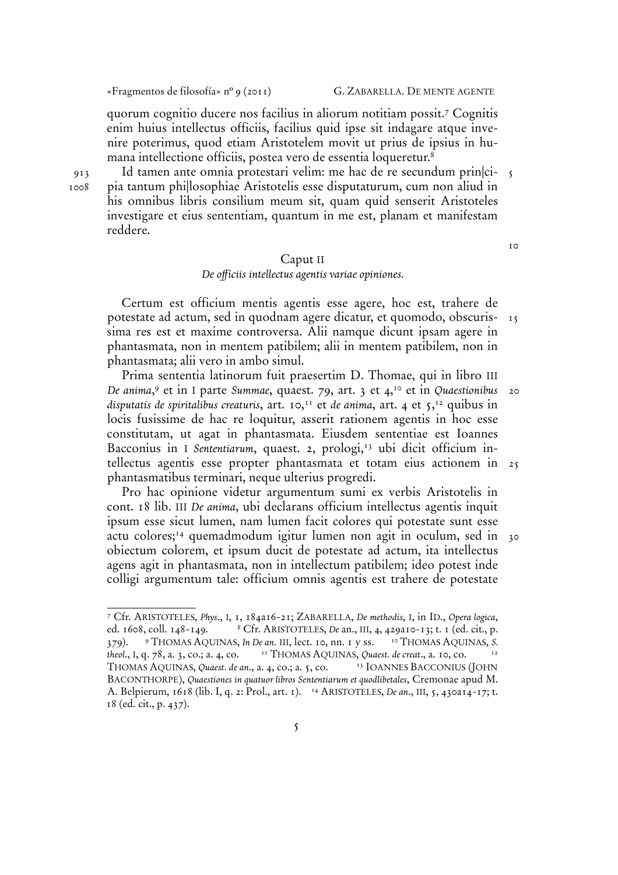quorum cognitio ducere nos facilius in aliorum notitiam possit.<sup>7</sup> Cognitis enim huius intellectus officiis, facilius quid ipse sit indagare atque invenire poterimus, quod etiam Aristotelem movit ut prius de ipsius in humana intellectione officiis, postea vero de essentia loqueretur.<sup>8</sup>

913 Id tamen ante omnia protestari velim: me hac de re secundum prin|ci- 5 1008 pia tantum phi|losophiae Aristotelis esse disputaturum, cum non aliud in his omnibus libris consilium meum sit, quam quid senserit Aristoteles investigare et eius sententiam, quantum in me est, planam et manifestam reddere.

# Caput II

### *De officiis intellectus agentis variae opiniones.*

Certum est officium mentis agentis esse agere, hoc est, trahere de potestate ad actum, sed in quodnam agere dicatur, et quomodo, obscuris- 15 sima res est et maxime controversa. Alii namque dicunt ipsam agere in phantasmata, non in mentem patibilem; alii in mentem patibilem, non in phantasmata; alii vero in ambo simul.

Prima sententia latinorum fuit praesertim D. Thomae, qui in libro III *De anima*, 9 et in I parte *Summae*, quaest. 79, art. 3 et 4,<sup>10</sup> et in *Quaestionibus* 20 disputatis de spiritalibus creaturis, art. 10,<sup>11</sup> et de anima, art. 4 et 5,<sup>12</sup> quibus in locis fusissime de hac re loquitur, asserit rationem agentis in hoc esse constitutam, ut agat in phantasmata. Eiusdem sententiae est Ioannes Bacconius in I Sententiarum, quaest. 2, prologi,<sup>13</sup> ubi dicit officium intellectus agentis esse propter phantasmata et totam eius actionem in 25 phantasmatibus terminari, neque ulterius progredi.

Pro hac opinione videtur argumentum sumi ex verbis Aristotelis in cont. 18 lib. III *De anima*, ubi declarans officium intellectus agentis inquit ipsum esse sicut lumen, nam lumen facit colores qui potestate sunt esse actu colores;<sup>14</sup> quemadmodum igitur lumen non agit in oculum, sed in 30 obiectum colorem, et ipsum ducit de potestate ad actum, ita intellectus agens agit in phantasmata, non in intellectum patibilem; ideo potest inde colligi argumentum tale: officium omnis agentis est trahere de potestate

<sup>7</sup> Cfr. ARISTOTELES, *Phys*., I, 1, 184a16-21; ZABARELLA, *De methodis*, I, in ID., *Opera logica*, ed. 1608, coll. 148-149. 8 Cfr. ARISTOTELES, *De* an., III, 4, 429a10-13; t. 1 (ed. cit., p. 379). 9 THOMAS AQUINAS, *In De an.* III, lect. 10, nn. 1 y ss. <sup>10</sup> THOMAS AQUINAS, *S. theol*., I, q. 78, a. 3, co.; a. 4, co. <sup>11</sup> THOMAS AQUINAS, *Quaest. de creat*., a. 10, co. 12 THOMAS AQUINAS, *Quaest. de an*., a. 4, co.; a. 5, co. <sup>13</sup> IOANNES BACCONIUS (IOHN BACONTHORPE), *Quaestiones in quatuor libros Sententiarum et quodlibetales*, Cremonae apud M. A. Belpierum, 1618 (lib. I, q. 2: Prol., art. 1). <sup>14</sup> ARISTOTELES, *De an*., III, 5, 430a14-17; t. 18 (ed. cit., p. 437).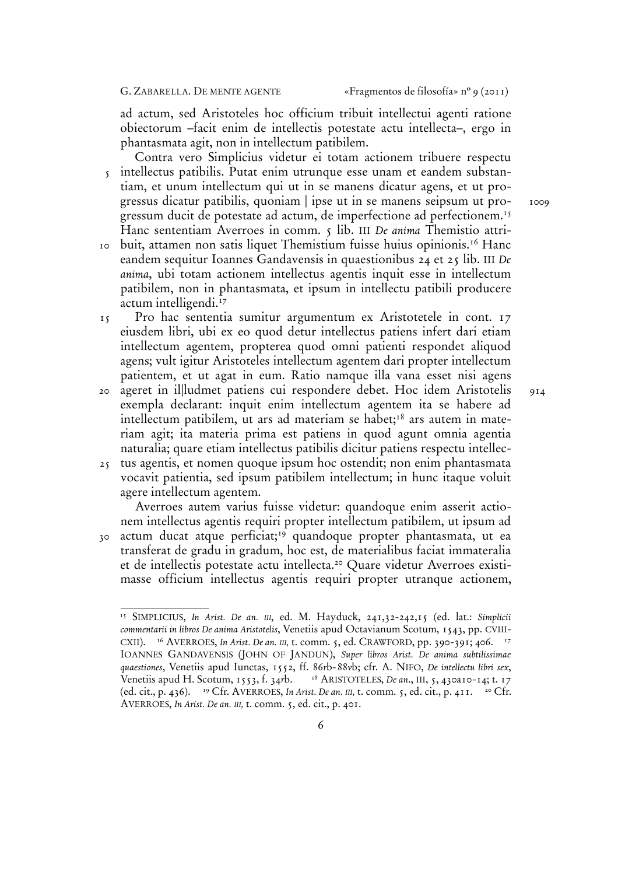ad actum, sed Aristoteles hoc officium tribuit intellectui agenti ratione obiectorum –facit enim de intellectis potestate actu intellecta–, ergo in phantasmata agit, non in intellectum patibilem.

Contra vero Simplicius videtur ei totam actionem tribuere respectu 5 intellectus patibilis. Putat enim utrunque esse unam et eandem substantiam, et unum intellectum qui ut in se manens dicatur agens, et ut progressus dicatur patibilis, quoniam |ipse ut in se manens seipsum ut pro- 1009 gressum ducit de potestate ad actum, de imperfectione ad perfectionem.<sup>15</sup> Hanc sententiam Averroes in comm. 5 lib. III *De anima* Themistio attri-

- 10 buit, attamen non satis liquet Themistium fuisse huius opinionis.<sup>16</sup> Hanc eandem sequitur Ioannes Gandavensis in quaestionibus 24 et 25 lib. III *De anima*, ubi totam actionem intellectus agentis inquit esse in intellectum patibilem, non in phantasmata, et ipsum in intellectu patibili producere actum intelligendi.<sup>17</sup>
- 15 Pro hac sententia sumitur argumentum ex Aristotetele in cont. 17 eiusdem libri, ubi ex eo quod detur intellectus patiens infert dari etiam intellectum agentem, propterea quod omni patienti respondet aliquod agens; vult igitur Aristoteles intellectum agentem dari propter intellectum patientem, et ut agat in eum. Ratio namque illa vana esset nisi agens
- 20 ageret in il|ludmet patiens cui respondere debet. Hoc idem Aristotelis 914 exempla declarant: inquit enim intellectum agentem ita se habere ad intellectum patibilem, ut ars ad materiam se habet;<sup>18</sup> ars autem in materiam agit; ita materia prima est patiens in quod agunt omnia agentia naturalia; quare etiam intellectus patibilis dicitur patiens respectu intellec-
- 25 tus agentis, et nomen quoque ipsum hoc ostendit; non enim phantasmata vocavit patientia, sed ipsum patibilem intellectum; in hunc itaque voluit agere intellectum agentem.

Averroes autem varius fuisse videtur: quandoque enim asserit actionem intellectus agentis requiri propter intellectum patibilem, ut ipsum ad

30 actum ducat atque perficiat;<sup>19</sup> quandoque propter phantasmata, ut ea transferat de gradu in gradum, hoc est, de materialibus faciat immateralia et de intellectis potestate actu intellecta.20 Quare videtur Averroes existimasse officium intellectus agentis requiri propter utranque actionem,

<sup>15</sup> SIMPLICIUS, *In Arist. De an. III*, ed. M. Hayduck, 241,32-242,15 (ed. lat.: *Simplicii commentarii in libros De anima Aristotelis*, Venetiis apud Octavianum Scotum, 1543, pp. CVIII-CXII). <sup>16</sup> AVERROES, *In Arist. De an. III,* t. comm. 5, ed. CRAWFORD, pp. 390-391; 406. 17 IOANNES GANDAVENSIS (JOHN OF JANDUN), *Super libros Arist. De anima subtilissimae quaestiones*, Venetiis apud Iunctas, 1552, ff. 86*r*b-88*v*b; cfr. A. NIFO, *De intellectu libri sex*, Venetiis apud H. Scotum, 1553, f. 34*r*b. <sup>18</sup> ARISTOTELES, *De an*., III, 5, 430a10-14; t. 17 (ed. cit., p. 436). <sup>19</sup> Cfr. AVERROES, *In Arist. De an. III,* t. comm. 5, ed. cit., p. 411. <sup>20</sup> Cfr. AVERROES, *In Arist. De an. III,* t. comm. 5, ed. cit., p. 401.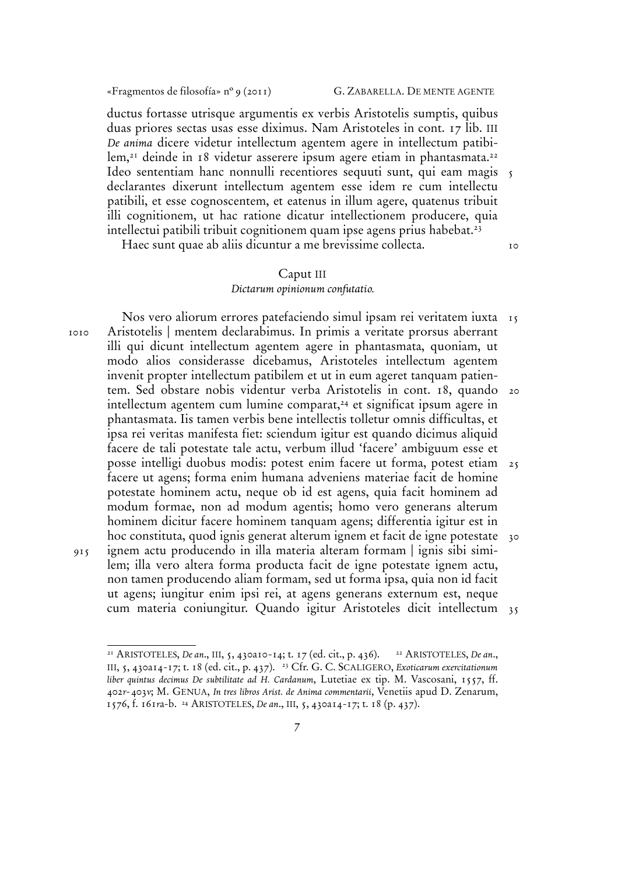ductus fortasse utrisque argumentis ex verbis Aristotelis sumptis, quibus duas priores sectas usas esse diximus. Nam Aristoteles in cont. 17 lib. III *De anima* dicere videtur intellectum agentem agere in intellectum patibilem,<sup>21</sup> deinde in 18 videtur asserere ipsum agere etiam in phantasmata.<sup>22</sup> Ideo sententiam hanc nonnulli recentiores sequuti sunt, qui eam magis 5 declarantes dixerunt intellectum agentem esse idem re cum intellectu patibili, et esse cognoscentem, et eatenus in illum agere, quatenus tribuit illi cognitionem, ut hac ratione dicatur intellectionem producere, quia intellectui patibili tribuit cognitionem quam ipse agens prius habebat.<sup>23</sup>

Haec sunt quae ab aliis dicuntur a me brevissime collecta.

# Caput III *Dictarum opinionum confutatio.*

Nos vero aliorum errores patefaciendo simul ipsam rei veritatem iuxta 15 1010 Aristotelis |mentem declarabimus. In primis a veritate prorsus aberrant illi qui dicunt intellectum agentem agere in phantasmata, quoniam, ut modo alios considerasse dicebamus, Aristoteles intellectum agentem invenit propter intellectum patibilem et ut in eum ageret tanquam patientem. Sed obstare nobis videntur verba Aristotelis in cont. 18, quando 20 intellectum agentem cum lumine comparat,<sup>24</sup> et significat ipsum agere in phantasmata. Iis tamen verbis bene intellectis tolletur omnis difficultas, et ipsa rei veritas manifesta fiet: sciendum igitur est quando dicimus aliquid facere de tali potestate tale actu, verbum illud 'facere' ambiguum esse et posse intelligi duobus modis: potest enim facere ut forma, potest etiam 25 facere ut agens; forma enim humana adveniens materiae facit de homine potestate hominem actu, neque ob id est agens, quia facit hominem ad modum formae, non ad modum agentis; homo vero generans alterum hominem dicitur facere hominem tanquam agens; differentia igitur est in hoc constituta, quod ignis generat alterum ignem et facit de igne potestate 30 915 ignem actu producendo in illa materia alteram formam | ignis sibi similem; illa vero altera forma producta facit de igne potestate ignem actu, non tamen producendo aliam formam, sed ut forma ipsa, quia non id facit ut agens; iungitur enim ipsi rei, at agens generans externum est, neque cum materia coniungitur. Quando igitur Aristoteles dicit intellectum 35

7

<sup>21</sup> ARISTOTELES, *De an*., III, 5, 430a10-14; t. 17 (ed. cit., p. 436). <sup>22</sup> ARISTOTELES, *De an*., III, 5, 430a14-17; t. 18 (ed. cit., p. 437). <sup>23</sup> Cfr. G. C. SCALIGERO, *Exoticarum exercitationum liber quintus decimus De subtilitate ad H. Cardanum*, Lutetiae ex tip. M. Vascosani, 1557, ff. 402*r*-403*v*; M. GENUA, *In tres libros Arist. de Anima commentarii*, Venetiis apud D. Zenarum, 1576, f. 161*r*a-b. <sup>24</sup> ARISTOTELES, *De an*., III, 5, 430a14-17; t. 18 (p. 437).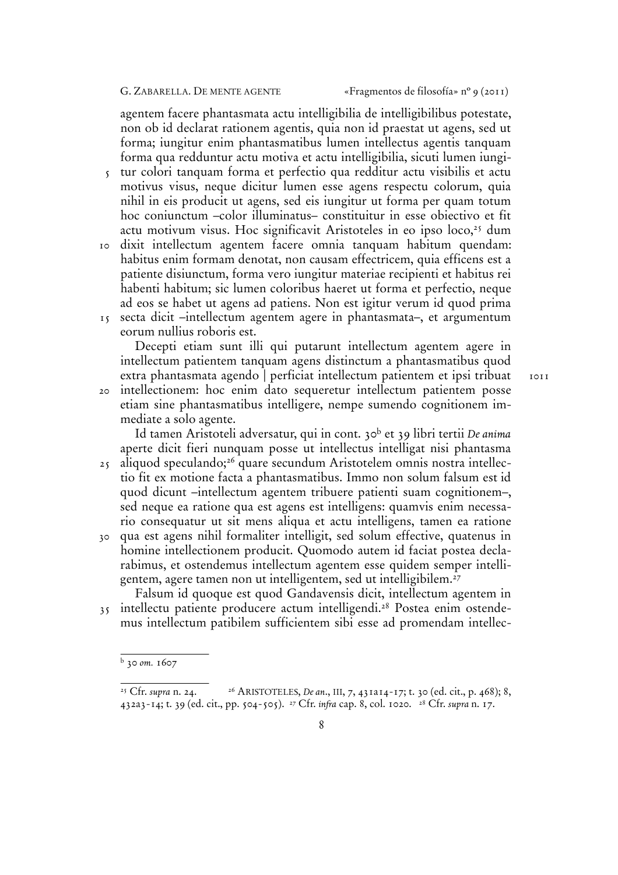agentem facere phantasmata actu intelligibilia de intelligibilibus potestate, non ob id declarat rationem agentis, quia non id praestat ut agens, sed ut forma; iungitur enim phantasmatibus lumen intellectus agentis tanquam forma qua redduntur actu motiva et actu intelligibilia, sicuti lumen iungi-

- 5 tur colori tanquam forma et perfectio qua redditur actu visibilis et actu motivus visus, neque dicitur lumen esse agens respectu colorum, quia nihil in eis producit ut agens, sed eis iungitur ut forma per quam totum hoc coniunctum –color illuminatus– constituitur in esse obiectivo et fit actu motivum visus. Hoc significavit Aristoteles in eo ipso  $\int \log^{25}$  dum
- 10 dixit intellectum agentem facere omnia tanquam habitum quendam: habitus enim formam denotat, non causam effectricem, quia efficens est a patiente disiunctum, forma vero iungitur materiae recipienti et habitus rei habenti habitum; sic lumen coloribus haeret ut forma et perfectio, neque ad eos se habet ut agens ad patiens. Non est igitur verum id quod prima
- 15 secta dicit –intellectum agentem agere in phantasmata–, et argumentum eorum nullius roboris est.

Decepti etiam sunt illi qui putarunt intellectum agentem agere in intellectum patientem tanquam agens distinctum a phantasmatibus quod extra phantasmata agendo | perficiat intellectum patientem et ipsi tribuat 1011

20 intellectionem: hoc enim dato sequeretur intellectum patientem posse etiam sine phantasmatibus intelligere, nempe sumendo cognitionem immediate a solo agente.

Id tamen Aristoteli adversatur, qui in cont. 30<sup>b</sup> et 39 libri tertii *De anima* aperte dicit fieri nunquam posse ut intellectus intelligat nisi phantasma

- 25 aliquod speculando;<sup>26</sup> quare secundum Aristotelem omnis nostra intellectio fit ex motione facta a phantasmatibus. Immo non solum falsum est id quod dicunt –intellectum agentem tribuere patienti suam cognitionem–, sed neque ea ratione qua est agens est intelligens: quamvis enim necessario consequatur ut sit mens aliqua et actu intelligens, tamen ea ratione
- 30 qua est agens nihil formaliter intelligit, sed solum effective, quatenus in homine intellectionem producit. Quomodo autem id faciat postea declarabimus, et ostendemus intellectum agentem esse quidem semper intelligentem, agere tamen non ut intelligentem, sed ut intelligibilem.<sup>27</sup>

Falsum id quoque est quod Gandavensis dicit, intellectum agentem in 35 intellectu patiente producere actum intelligendi.<sup>28</sup> Postea enim ostendemus intellectum patibilem sufficientem sibi esse ad promendam intellec-

b 30 *om.* 1607

<sup>25</sup> Cfr. *supra* n. 24. <sup>26</sup> ARISTOTELES, *De an*., III, 7, 431a14-17; t. 30 (ed. cit., p. 468); 8, 432a3-14; t. 39 (ed. cit., pp. 504-505). <sup>27</sup> Cfr. *infra* cap. 8, col. 1020. 28 Cfr. *supra* n. 17.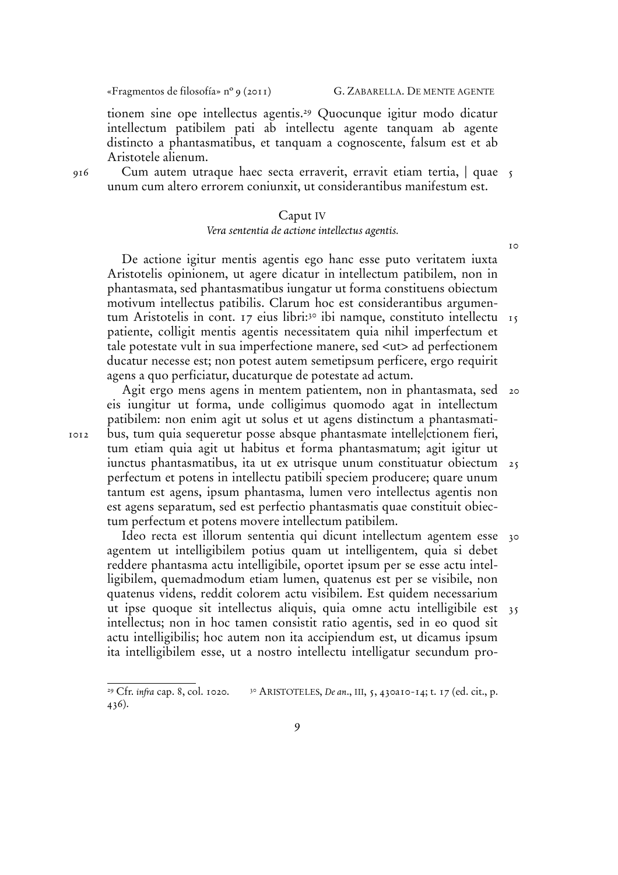10

tionem sine ope intellectus agentis.<sup>29</sup> Quocunque igitur modo dicatur intellectum patibilem pati ab intellectu agente tanquam ab agente distincto a phantasmatibus, et tanquam a cognoscente, falsum est et ab Aristotele alienum.

916 Cum autem utraque haec secta erraverit, erravit etiam tertia, | quae 5 unum cum altero errorem coniunxit, ut considerantibus manifestum est.

# Caput IV

## *Vera sententia de actione intellectus agentis.*

De actione igitur mentis agentis ego hanc esse puto veritatem iuxta Aristotelis opinionem, ut agere dicatur in intellectum patibilem, non in phantasmata, sed phantasmatibus iungatur ut forma constituens obiectum motivum intellectus patibilis. Clarum hoc est considerantibus argumentum Aristotelis in cont. 17 eius libri:<sup>30</sup> ibi namque, constituto intellectu 15 patiente, colligit mentis agentis necessitatem quia nihil imperfectum et tale potestate vult in sua imperfectione manere, sed <ut> ad perfectionem ducatur necesse est; non potest autem semetipsum perficere, ergo requirit agens a quo perficiatur, ducaturque de potestate ad actum.

Agit ergo mens agens in mentem patientem, non in phantasmata, sed 20 eis iungitur ut forma, unde colligimus quomodo agat in intellectum patibilem: non enim agit ut solus et ut agens distinctum a phantasmati-1012 bus, tum quia sequeretur posse absque phantasmate intelle|ctionem fieri, tum etiam quia agit ut habitus et forma phantasmatum; agit igitur ut iunctus phantasmatibus, ita ut ex utrisque unum constituatur obiectum 25 perfectum et potens in intellectu patibili speciem producere; quare unum tantum est agens, ipsum phantasma, lumen vero intellectus agentis non est agens separatum, sed est perfectio phantasmatis quae constituit obiectum perfectum et potens movere intellectum patibilem.

Ideo recta est illorum sententia qui dicunt intellectum agentem esse 30 agentem ut intelligibilem potius quam ut intelligentem, quia si debet reddere phantasma actu intelligibile, oportet ipsum per se esse actu intelligibilem, quemadmodum etiam lumen, quatenus est per se visibile, non quatenus videns, reddit colorem actu visibilem. Est quidem necessarium ut ipse quoque sit intellectus aliquis, quia omne actu intelligibile est 35 intellectus; non in hoc tamen consistit ratio agentis, sed in eo quod sit actu intelligibilis; hoc autem non ita accipiendum est, ut dicamus ipsum ita intelligibilem esse, ut a nostro intellectu intelligatur secundum pro-

<sup>29</sup> Cfr. *infra* cap. 8, col. 1020. <sup>30</sup> ARISTOTELES, *De an*., III, 5, 430a10-14; t. 17 (ed. cit., p. 436).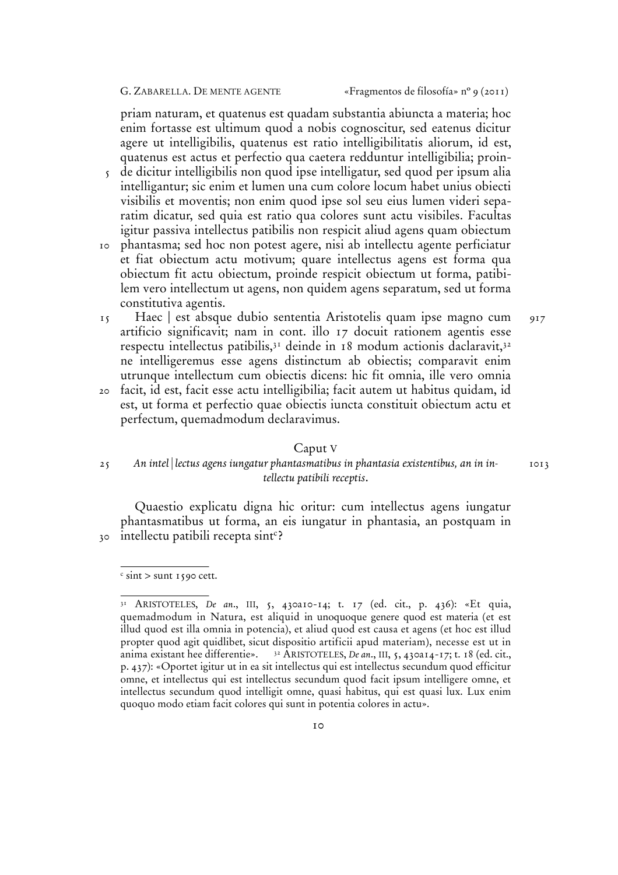priam naturam, et quatenus est quadam substantia abiuncta a materia; hoc enim fortasse est ultimum quod a nobis cognoscitur, sed eatenus dicitur agere ut intelligibilis, quatenus est ratio intelligibilitatis aliorum, id est, quatenus est actus et perfectio qua caetera redduntur intelligibilia; proin-

- 5 de dicitur intelligibilis non quod ipse intelligatur, sed quod per ipsum alia intelligantur; sic enim et lumen una cum colore locum habet unius obiecti visibilis et moventis; non enim quod ipse sol seu eius lumen videri separatim dicatur, sed quia est ratio qua colores sunt actu visibiles. Facultas igitur passiva intellectus patibilis non respicit aliud agens quam obiectum
- 10 phantasma; sed hoc non potest agere, nisi ab intellectu agente perficiatur et fiat obiectum actu motivum; quare intellectus agens est forma qua obiectum fit actu obiectum, proinde respicit obiectum ut forma, patibilem vero intellectum ut agens, non quidem agens separatum, sed ut forma constitutiva agentis.
- 15 Haec | est absque dubio sententia Aristotelis quam ipse magno cum 917 artificio significavit; nam in cont. illo 17 docuit rationem agentis esse respectu intellectus patibilis,<sup>31</sup> deinde in 18 modum actionis daclaravit,<sup>32</sup> ne intelligeremus esse agens distinctum ab obiectis; comparavit enim utrunque intellectum cum obiectis dicens: hic fit omnia, ille vero omnia
- 20 facit, id est, facit esse actu intelligibilia; facit autem ut habitus quidam, id est, ut forma et perfectio quae obiectis iuncta constituit obiectum actu et perfectum, quemadmodum declaravimus.

#### Caput V

# 25 *An intel|lectus agens iungatur phantasmatibus in phantasia existentibus, an in in-* 1013 *tellectu patibili receptis*.

Quaestio explicatu digna hic oritur: cum intellectus agens iungatur phantasmatibus ut forma, an eis iungatur in phantasia, an postquam in  $30$  intellectu patibili recepta sint<sup>c</sup>?

 $\frac{c}{\sin t}$  > sunt 1590 cett.

<sup>31</sup> ARISTOTELES, *De an*., III, 5, 430a10-14; t. 17 (ed. cit., p. 436): «Et quia, quemadmodum in Natura, est aliquid in unoquoque genere quod est materia (et est illud quod est illa omnia in potencia), et aliud quod est causa et agens (et hoc est illud propter quod agit quidlibet, sicut dispositio artificii apud materiam), necesse est ut in anima existant hee differentie». <sup>32</sup> ARISTOTELES, *De an*., III, 5, 430a14-17; t. 18 (ed. cit., p. 437): «Oportet igitur ut in ea sit intellectus qui est intellectus secundum quod efficitur omne, et intellectus qui est intellectus secundum quod facit ipsum intelligere omne, et intellectus secundum quod intelligit omne, quasi habitus, qui est quasi lux. Lux enim quoquo modo etiam facit colores qui sunt in potentia colores in actu».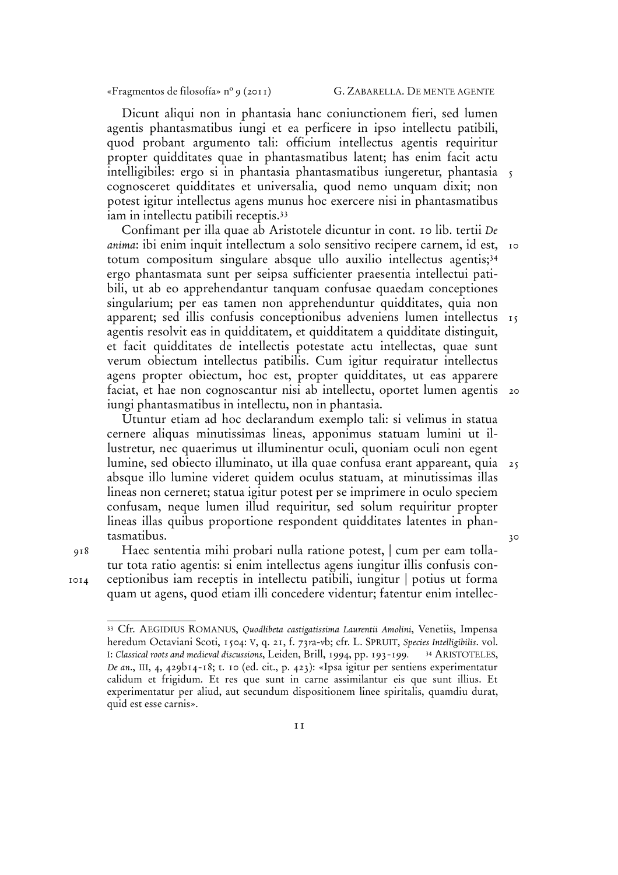Dicunt aliqui non in phantasia hanc coniunctionem fieri, sed lumen agentis phantasmatibus iungi et ea perficere in ipso intellectu patibili, quod probant argumento tali: officium intellectus agentis requiritur propter quidditates quae in phantasmatibus latent; has enim facit actu intelligibiles: ergo si in phantasia phantasmatibus iungeretur, phantasia 5 cognosceret quidditates et universalia, quod nemo unquam dixit; non potest igitur intellectus agens munus hoc exercere nisi in phantasmatibus iam in intellectu patibili receptis.<sup>33</sup>

Confimant per illa quae ab Aristotele dicuntur in cont. 10 lib. tertii *De anima*: ibi enim inquit intellectum a solo sensitivo recipere carnem, id est, 10 totum compositum singulare absque ullo auxilio intellectus agentis;<sup>34</sup> ergo phantasmata sunt per seipsa sufficienter praesentia intellectui patibili, ut ab eo apprehendantur tanquam confusae quaedam conceptiones singularium; per eas tamen non apprehenduntur quidditates, quia non apparent; sed illis confusis conceptionibus adveniens lumen intellectus 15 agentis resolvit eas in quidditatem, et quidditatem a quidditate distinguit, et facit quidditates de intellectis potestate actu intellectas, quae sunt verum obiectum intellectus patibilis. Cum igitur requiratur intellectus agens propter obiectum, hoc est, propter quidditates, ut eas apparere faciat, et hae non cognoscantur nisi ab intellectu, oportet lumen agentis 20 iungi phantasmatibus in intellectu, non in phantasia.

Utuntur etiam ad hoc declarandum exemplo tali: si velimus in statua cernere aliquas minutissimas lineas, apponimus statuam lumini ut illustretur, nec quaerimus ut illuminentur oculi, quoniam oculi non egent lumine, sed obiecto illuminato, ut illa quae confusa erant appareant, quia 25 absque illo lumine videret quidem oculus statuam, at minutissimas illas lineas non cerneret; statua igitur potest per se imprimere in oculo speciem confusam, neque lumen illud requiritur, sed solum requiritur propter lineas illas quibus proportione respondent quidditates latentes in phantasmatibus.  $\frac{30}{20}$ 

918 Haec sententia mihi probari nulla ratione potest, | cum per eam tollatur tota ratio agentis: si enim intellectus agens iungitur illis confusis con-1014 ceptionibus iam receptis in intellectu patibili, iungitur | potius ut forma quam ut agens, quod etiam illi concedere videntur; fatentur enim intellec-

<sup>33</sup> Cfr. AEGIDIUS ROMANUS, *Quodlibeta castigatissima Laurentii Amolini*, Venetiis, Impensa heredum Octaviani Scoti, 1504: V, q. 21, f. 73*r*a-*v*b; cfr. L. SPRUIT, *Species Intelligibilis*. vol. I: *Classical roots and medieval discussions*, Leiden, Brill, 1994, pp. 193-199*.* <sup>34</sup> ARISTOTELES, *De an*., III, 4, 429b14-18; t. 10 (ed. cit., p. 423): «Ipsa igitur per sentiens experimentatur calidum et frigidum. Et res que sunt in carne assimilantur eis que sunt illius. Et experimentatur per aliud, aut secundum dispositionem linee spiritalis, quamdiu durat, quid est esse carnis».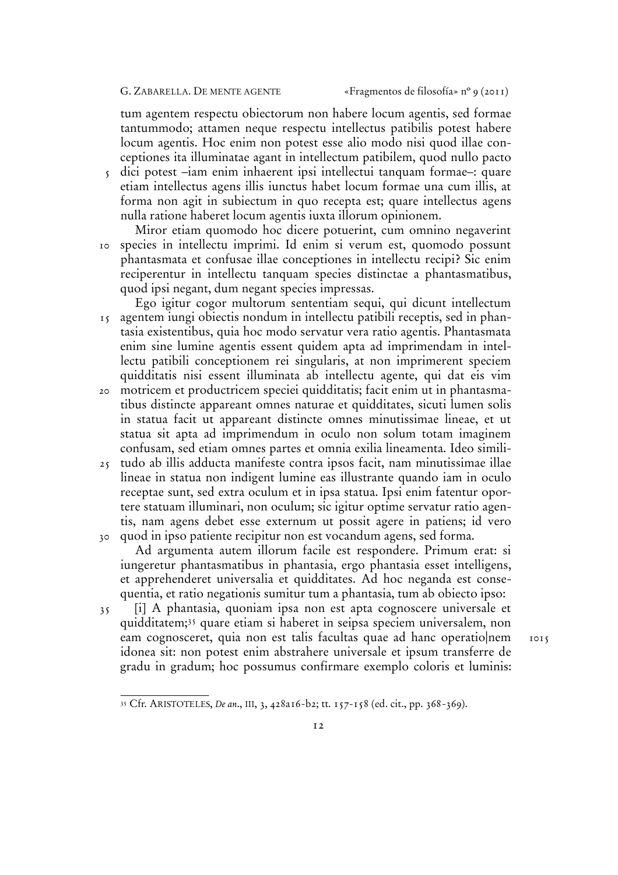tum agentem respectu obiectorum non habere locum agentis, sed formae tantummodo; attamen neque respectu intellectus patibilis potest habere locum agentis. Hoc enim non potest esse alio modo nisi quod illae conceptiones ita illuminatae agant in intellectum patibilem, quod nullo pacto

- 5 dici potest –iam enim inhaerent ipsi intellectui tanquam formae–: quare etiam intellectus agens illis iunctus habet locum formae una cum illis, at forma non agit in subiectum in quo recepta est; quare intellectus agens nulla ratione haberet locum agentis iuxta illorum opinionem.
- Miror etiam quomodo hoc dicere potuerint, cum omnino negaverint 10 species in intellectu imprimi. Id enim si verum est, quomodo possunt phantasmata et confusae illae conceptiones in intellectu recipi? Sic enim reciperentur in intellectu tanquam species distinctae a phantasmatibus, quod ipsi negant, dum negant species impressas.

Ego igitur cogor multorum sententiam sequi, qui dicunt intellectum 15 agentem iungi obiectis nondum in intellectu patibili receptis, sed in phantasia existentibus, quia hoc modo servatur vera ratio agentis. Phantasmata enim sine lumine agentis essent quidem apta ad imprimendam in intellectu patibili conceptionem rei singularis, at non imprimerent speciem quidditatis nisi essent illuminata ab intellectu agente, qui dat eis vim

- 20 motricem et productricem speciei quidditatis; facit enim ut in phantasmatibus distincte appareant omnes naturae et quidditates, sicuti lumen solis in statua facit ut appareant distincte omnes minutissimae lineae, et ut statua sit apta ad imprimendum in oculo non solum totam imaginem confusam, sed etiam omnes partes et omnia exilia lineamenta. Ideo simili-
- 25 tudo ab illis adducta manifeste contra ipsos facit, nam minutissimae illae lineae in statua non indigent lumine eas illustrante quando iam in oculo receptae sunt, sed extra oculum et in ipsa statua. Ipsi enim fatentur oportere statuam illuminari, non oculum; sic igitur optime servatur ratio agentis, nam agens debet esse externum ut possit agere in patiens; id vero 30 quod in ipso patiente recipitur non est vocandum agens, sed forma.

Ad argumenta autem illorum facile est respondere. Primum erat: si iungeretur phantasmatibus in phantasia, ergo phantasia esset intelligens, et apprehenderet universalia et quidditates. Ad hoc neganda est consequentia, et ratio negationis sumitur tum a phantasia, tum ab obiecto ipso:

35 [i] A phantasia, quoniam ipsa non est apta cognoscere universale et quidditatem;<sup>35</sup> quare etiam si haberet in seipsa speciem universalem, non eam cognosceret, quia non est talis facultas quae ad hanc operatio|nem 1015 idonea sit: non potest enim abstrahere universale et ipsum transferre de gradu in gradum; hoc possumus confirmare exemplo coloris et luminis:

<sup>35</sup> Cfr. ARISTOTELES, *De an*., III, 3, 428a16-b2; tt. 157-158 (ed. cit., pp. 368-369).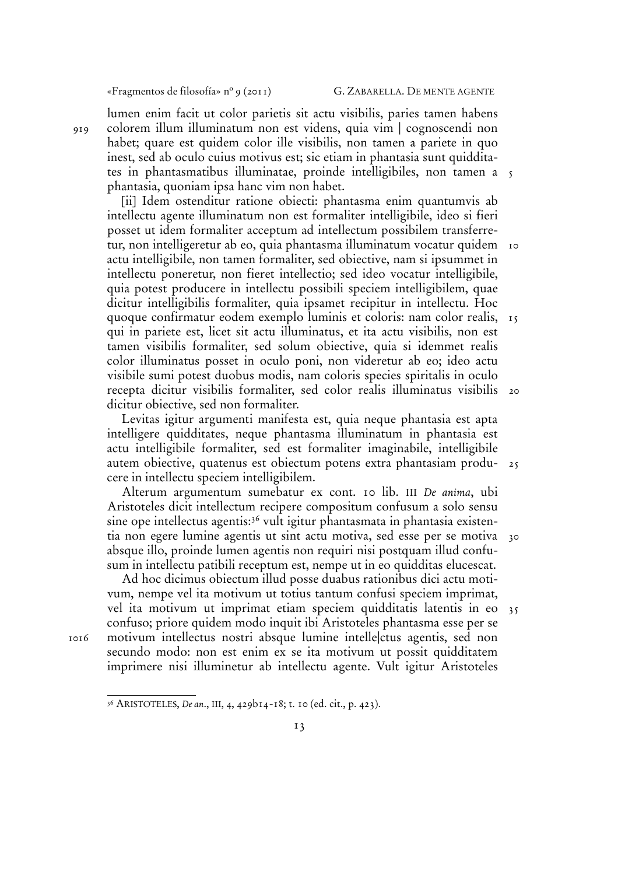lumen enim facit ut color parietis sit actu visibilis, paries tamen habens 919 colorem illum illuminatum non est videns, quia vim | cognoscendi non habet; quare est quidem color ille visibilis, non tamen a pariete in quo inest, sed ab oculo cuius motivus est; sic etiam in phantasia sunt quidditates in phantasmatibus illuminatae, proinde intelligibiles, non tamen a 5 phantasia, quoniam ipsa hanc vim non habet.

[ii] Idem ostenditur ratione obiecti: phantasma enim quantumvis ab intellectu agente illuminatum non est formaliter intelligibile, ideo si fieri posset ut idem formaliter acceptum ad intellectum possibilem transferretur, non intelligeretur ab eo, quia phantasma illuminatum vocatur quidem 10 actu intelligibile, non tamen formaliter, sed obiective, nam si ipsummet in intellectu poneretur, non fieret intellectio; sed ideo vocatur intelligibile, quia potest producere in intellectu possibili speciem intelligibilem, quae dicitur intelligibilis formaliter, quia ipsamet recipitur in intellectu. Hoc quoque confirmatur eodem exemplo luminis et coloris: nam color realis, 15 qui in pariete est, licet sit actu illuminatus, et ita actu visibilis, non est tamen visibilis formaliter, sed solum obiective, quia si idemmet realis color illuminatus posset in oculo poni, non videretur ab eo; ideo actu visibile sumi potest duobus modis, nam coloris species spiritalis in oculo recepta dicitur visibilis formaliter, sed color realis illuminatus visibilis 20 dicitur obiective, sed non formaliter.

Levitas igitur argumenti manifesta est, quia neque phantasia est apta intelligere quidditates, neque phantasma illuminatum in phantasia est actu intelligibile formaliter, sed est formaliter imaginabile, intelligibile autem obiective, quatenus est obiectum potens extra phantasiam produ- 25 cere in intellectu speciem intelligibilem.

Alterum argumentum sumebatur ex cont. 10 lib. III *De anima*, ubi Aristoteles dicit intellectum recipere compositum confusum a solo sensu sine ope intellectus agentis:<sup>36</sup> vult igitur phantasmata in phantasia existentia non egere lumine agentis ut sint actu motiva, sed esse per se motiva 30 absque illo, proinde lumen agentis non requiri nisi postquam illud confusum in intellectu patibili receptum est, nempe ut in eo quidditas elucescat.

Ad hoc dicimus obiectum illud posse duabus rationibus dici actu motivum, nempe vel ita motivum ut totius tantum confusi speciem imprimat, vel ita motivum ut imprimat etiam speciem quidditatis latentis in eo 35 confuso; priore quidem modo inquit ibi Aristoteles phantasma esse per se 1016 motivum intellectus nostri absque lumine intelle|ctus agentis, sed non secundo modo: non est enim ex se ita motivum ut possit quidditatem imprimere nisi illuminetur ab intellectu agente. Vult igitur Aristoteles

<sup>36</sup> ARISTOTELES, *De an*., III, 4, 429b14-18; t. 10 (ed. cit., p. 423).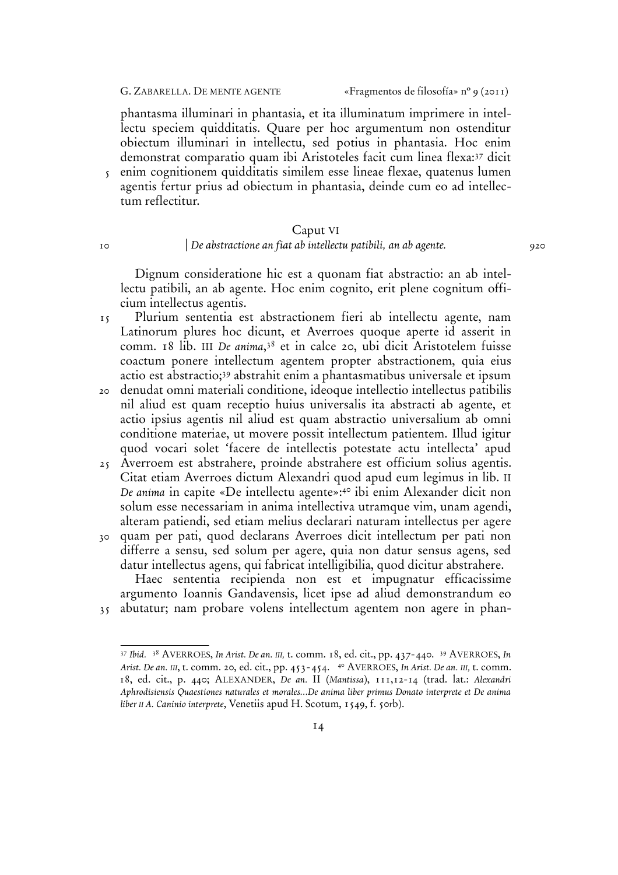phantasma illuminari in phantasia, et ita illuminatum imprimere in intellectu speciem quidditatis. Quare per hoc argumentum non ostenditur obiectum illuminari in intellectu, sed potius in phantasia. Hoc enim demonstrat comparatio quam ibi Aristoteles facit cum linea flexa:<sup>37</sup> dicit

5 enim cognitionem quidditatis similem esse lineae flexae, quatenus lumen agentis fertur prius ad obiectum in phantasia, deinde cum eo ad intellectum reflectitur.

# Caput VI

### 10 | *De abstractione an fiat ab intellectu patibili, an ab agente.* 920

Dignum consideratione hic est a quonam fiat abstractio: an ab intellectu patibili, an ab agente. Hoc enim cognito, erit plene cognitum officium intellectus agentis.

- 15 Plurium sententia est abstractionem fieri ab intellectu agente, nam Latinorum plures hoc dicunt, et Averroes quoque aperte id asserit in comm. 18 lib. III *De anima*, <sup>38</sup> et in calce 20, ubi dicit Aristotelem fuisse coactum ponere intellectum agentem propter abstractionem, quia eius actio est abstractio;<sup>39</sup> abstrahit enim a phantasmatibus universale et ipsum
- 20 denudat omni materiali conditione, ideoque intellectio intellectus patibilis nil aliud est quam receptio huius universalis ita abstracti ab agente, et actio ipsius agentis nil aliud est quam abstractio universalium ab omni conditione materiae, ut movere possit intellectum patientem. Illud igitur quod vocari solet 'facere de intellectis potestate actu intellecta' apud
- 25 Averroem est abstrahere, proinde abstrahere est officium solius agentis. Citat etiam Averroes dictum Alexandri quod apud eum legimus in lib. II *De anima* in capite «De intellectu agente»:<sup>40</sup> ibi enim Alexander dicit non solum esse necessariam in anima intellectiva utramque vim, unam agendi, alteram patiendi, sed etiam melius declarari naturam intellectus per agere
- 30 quam per pati, quod declarans Averroes dicit intellectum per pati non differre a sensu, sed solum per agere, quia non datur sensus agens, sed datur intellectus agens, qui fabricat intelligibilia, quod dicitur abstrahere.

Haec sententia recipienda non est et impugnatur efficacissime argumento Ioannis Gandavensis, licet ipse ad aliud demonstrandum eo

35 abutatur; nam probare volens intellectum agentem non agere in phan-

<sup>37</sup> *Ibid.* <sup>38</sup> AVERROES, *In Arist. De an. III,* t. comm. 18, ed. cit., pp. 437-440. <sup>39</sup> AVERROES, *In Arist. De an. III*, t. comm. 20, ed. cit., pp. 453-454. <sup>40</sup> AVERROES, *In Arist. De an. III,* t. comm. 18, ed. cit., p. 440; ALEXANDER, *De an.* II (*Mantissa*), 111,12-14 (trad. lat.: *Alexandri Aphrodisiensis Quaestiones naturales et morales...De anima liber primus Donato interprete et De anima liber II A. Caninio interprete*, Venetiis apud H. Scotum, 1549, f. 50*r*b).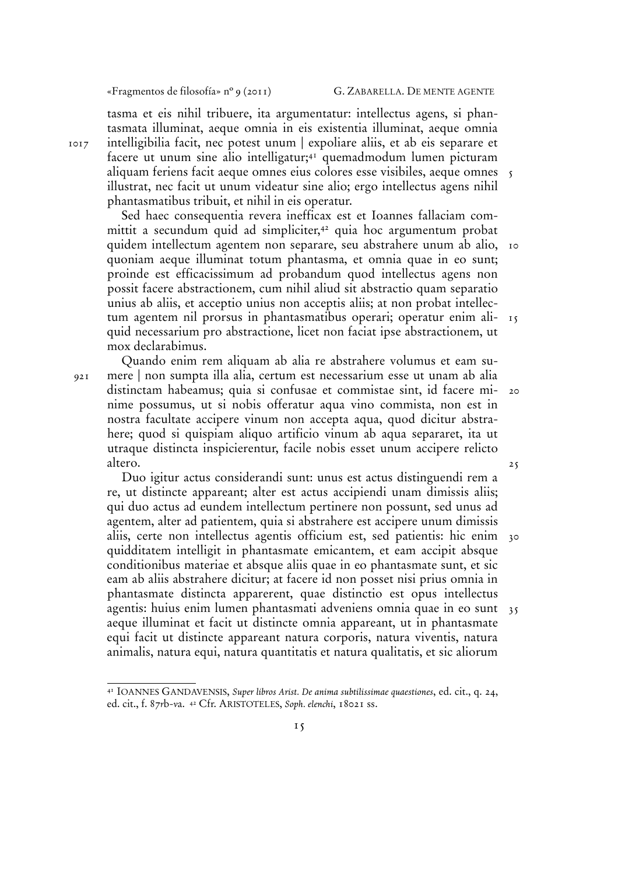tasma et eis nihil tribuere, ita argumentatur: intellectus agens, si phantasmata illuminat, aeque omnia in eis existentia illuminat, aeque omnia 1017 intelligibilia facit, nec potest unum | expoliare aliis, et ab eis separare et facere ut unum sine alio intelligatur;<sup>41</sup> quemadmodum lumen picturam aliquam feriens facit aeque omnes eius colores esse visibiles, aeque omnes 5 illustrat, nec facit ut unum videatur sine alio; ergo intellectus agens nihil phantasmatibus tribuit, et nihil in eis operatur.

Sed haec consequentia revera inefficax est et Ioannes fallaciam committit a secundum quid ad simpliciter, $42$  quia hoc argumentum probat quidem intellectum agentem non separare, seu abstrahere unum ab alio, 10 quoniam aeque illuminat totum phantasma, et omnia quae in eo sunt; proinde est efficacissimum ad probandum quod intellectus agens non possit facere abstractionem, cum nihil aliud sit abstractio quam separatio unius ab aliis, et acceptio unius non acceptis aliis; at non probat intellectum agentem nil prorsus in phantasmatibus operari; operatur enim ali- 15 quid necessarium pro abstractione, licet non faciat ipse abstractionem, ut mox declarabimus.

Quando enim rem aliquam ab alia re abstrahere volumus et eam su-921 mere | non sumpta illa alia, certum est necessarium esse ut unam ab alia distinctam habeamus; quia si confusae et commistae sint, id facere mi- 20 nime possumus, ut si nobis offeratur aqua vino commista, non est in nostra facultate accipere vinum non accepta aqua, quod dicitur abstrahere; quod si quispiam aliquo artificio vinum ab aqua separaret, ita ut utraque distincta inspicierentur, facile nobis esset unum accipere relicto altero. 25

Duo igitur actus considerandi sunt: unus est actus distinguendi rem a re, ut distincte appareant; alter est actus accipiendi unam dimissis aliis; qui duo actus ad eundem intellectum pertinere non possunt, sed unus ad agentem, alter ad patientem, quia si abstrahere est accipere unum dimissis aliis, certe non intellectus agentis officium est, sed patientis: hic enim 30 quidditatem intelligit in phantasmate emicantem, et eam accipit absque conditionibus materiae et absque aliis quae in eo phantasmate sunt, et sic eam ab aliis abstrahere dicitur; at facere id non posset nisi prius omnia in phantasmate distincta apparerent, quae distinctio est opus intellectus agentis: huius enim lumen phantasmati adveniens omnia quae in eo sunt 35 aeque illuminat et facit ut distincte omnia appareant, ut in phantasmate equi facit ut distincte appareant natura corporis, natura viventis, natura animalis, natura equi, natura quantitatis et natura qualitatis, et sic aliorum

<sup>41</sup> IOANNES GANDAVENSIS, *Super libros Arist. De anima subtilissimae quaestiones*, ed. cit., q. 24, ed. cit., f. 87*r*b-*v*a. <sup>42</sup> Cfr. ARISTOTELES, *Soph. elenchi*, 18021 ss.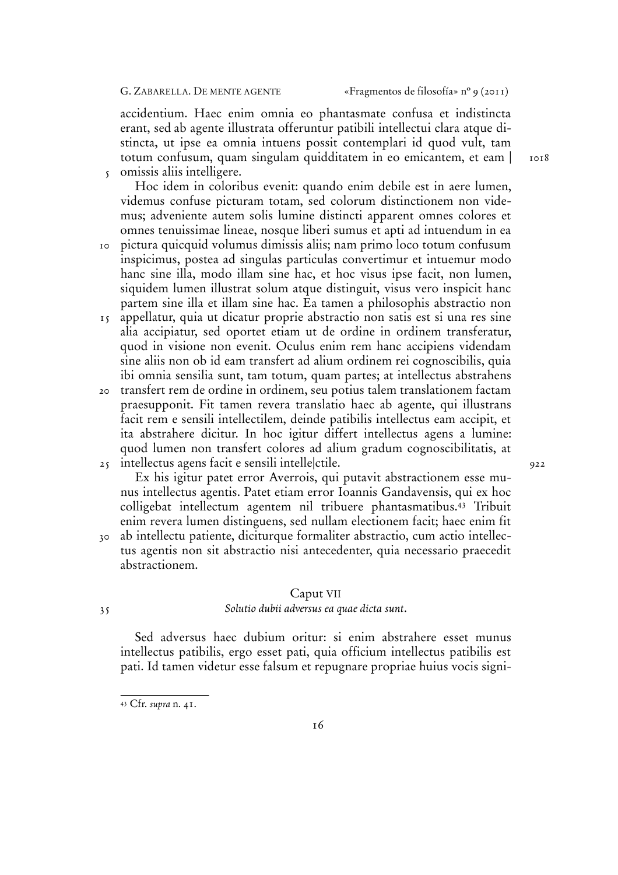accidentium. Haec enim omnia eo phantasmate confusa et indistincta erant, sed ab agente illustrata offeruntur patibili intellectui clara atque distincta, ut ipse ea omnia intuens possit contemplari id quod vult, tam totum confusum, quam singulam quidditatem in eo emicantem, et eam| 1018 5 omissis aliis intelligere.

Hoc idem in coloribus evenit: quando enim debile est in aere lumen, videmus confuse picturam totam, sed colorum distinctionem non videmus; adveniente autem solis lumine distincti apparent omnes colores et omnes tenuissimae lineae, nosque liberi sumus et apti ad intuendum in ea

- 10 pictura quicquid volumus dimissis aliis; nam primo loco totum confusum inspicimus, postea ad singulas particulas convertimur et intuemur modo hanc sine illa, modo illam sine hac, et hoc visus ipse facit, non lumen, siquidem lumen illustrat solum atque distinguit, visus vero inspicit hanc partem sine illa et illam sine hac. Ea tamen a philosophis abstractio non
- 15 appellatur, quia ut dicatur proprie abstractio non satis est si una res sine alia accipiatur, sed oportet etiam ut de ordine in ordinem transferatur, quod in visione non evenit. Oculus enim rem hanc accipiens videndam sine aliis non ob id eam transfert ad alium ordinem rei cognoscibilis, quia ibi omnia sensilia sunt, tam totum, quam partes; at intellectus abstrahens
- 20 transfert rem de ordine in ordinem, seu potius talem translationem factam praesupponit. Fit tamen revera translatio haec ab agente, qui illustrans facit rem e sensili intellectilem, deinde patibilis intellectus eam accipit, et ita abstrahere dicitur. In hoc igitur differt intellectus agens a lumine: quod lumen non transfert colores ad alium gradum cognoscibilitatis, at 25 intellectus agens facit e sensili intelle|ctile. 922

Ex his igitur patet error Averrois, qui putavit abstractionem esse munus intellectus agentis. Patet etiam error Ioannis Gandavensis, qui ex hoc colligebat intellectum agentem nil tribuere phantasmatibus.<sup>43</sup> Tribuit enim revera lumen distinguens, sed nullam electionem facit; haec enim fit

30 ab intellectu patiente, diciturque formaliter abstractio, cum actio intellectus agentis non sit abstractio nisi antecedenter, quia necessario praecedit abstractionem.

# Caput VII

# 35 *Solutio dubii adversus ea quae dicta sunt*.

Sed adversus haec dubium oritur: si enim abstrahere esset munus intellectus patibilis, ergo esset pati, quia officium intellectus patibilis est pati. Id tamen videtur esse falsum et repugnare propriae huius vocis signi-

<sup>43</sup> Cfr. *supra* n. 41.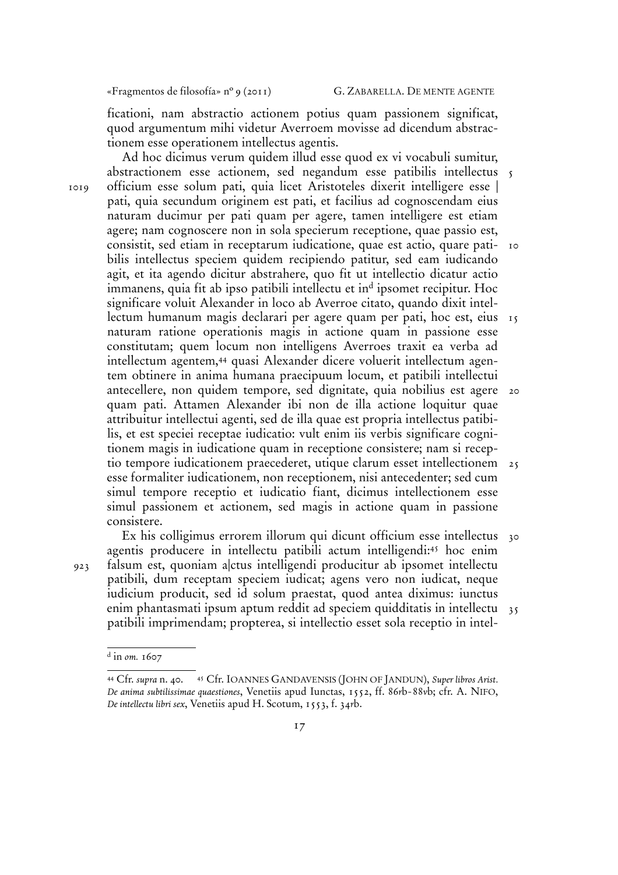ficationi, nam abstractio actionem potius quam passionem significat, quod argumentum mihi videtur Averroem movisse ad dicendum abstractionem esse operationem intellectus agentis.

Ad hoc dicimus verum quidem illud esse quod ex vi vocabuli sumitur, abstractionem esse actionem, sed negandum esse patibilis intellectus 5 1019 officium esse solum pati, quia licet Aristoteles dixerit intelligere esse | pati, quia secundum originem est pati, et facilius ad cognoscendam eius naturam ducimur per pati quam per agere, tamen intelligere est etiam agere; nam cognoscere non in sola specierum receptione, quae passio est, consistit, sed etiam in receptarum iudicatione, quae est actio, quare pati- 10 bilis intellectus speciem quidem recipiendo patitur, sed eam iudicando agit, et ita agendo dicitur abstrahere, quo fit ut intellectio dicatur actio immanens, quia fit ab ipso patibili intellectu et in d ipsomet recipitur. Hoc significare voluit Alexander in loco ab Averroe citato, quando dixit intellectum humanum magis declarari per agere quam per pati, hoc est, eius 15 naturam ratione operationis magis in actione quam in passione esse constitutam; quem locum non intelligens Averroes traxit ea verba ad intellectum agentem,44 quasi Alexander dicere voluerit intellectum agentem obtinere in anima humana praecipuum locum, et patibili intellectui antecellere, non quidem tempore, sed dignitate, quia nobilius est agere 20 quam pati. Attamen Alexander ibi non de illa actione loquitur quae attribuitur intellectui agenti, sed de illa quae est propria intellectus patibilis, et est speciei receptae iudicatio: vult enim iis verbis significare cognitionem magis in iudicatione quam in receptione consistere; nam si receptio tempore iudicationem praecederet, utique clarum esset intellectionem 25 esse formaliter iudicationem, non receptionem, nisi antecedenter; sed cum simul tempore receptio et iudicatio fiant, dicimus intellectionem esse simul passionem et actionem, sed magis in actione quam in passione consistere.

Ex his colligimus errorem illorum qui dicunt officium esse intellectus 30 agentis producere in intellectu patibili actum intelligendi:<sup>45</sup> hoc enim 923 falsum est, quoniam a|ctus intelligendi producitur ab ipsomet intellectu patibili, dum receptam speciem iudicat; agens vero non iudicat, neque iudicium producit, sed id solum praestat, quod antea diximus: iunctus enim phantasmati ipsum aptum reddit ad speciem quidditatis in intellectu 35 patibili imprimendam; propterea, si intellectio esset sola receptio in intel-

d in *om.* 1607

<sup>44</sup> Cfr. *supra* n. 40. <sup>45</sup> Cfr. IOANNES GANDAVENSIS (JOHN OF JANDUN), *Super libros Arist. De anima subtilissimae quaestiones*, Venetiis apud Iunctas, 1552, ff. 86*r*b-88*v*b; cfr. A. NIFO, *De intellectu libri sex*, Venetiis apud H. Scotum, 1553, f. 34*r*b.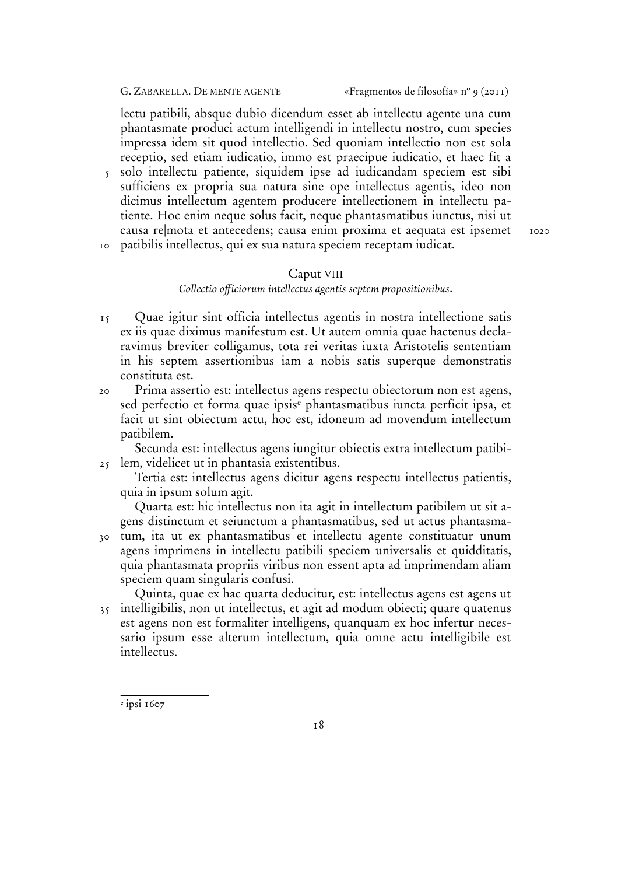lectu patibili, absque dubio dicendum esset ab intellectu agente una cum phantasmate produci actum intelligendi in intellectu nostro, cum species impressa idem sit quod intellectio. Sed quoniam intellectio non est sola receptio, sed etiam iudicatio, immo est praecipue iudicatio, et haec fit a

5 solo intellectu patiente, siquidem ipse ad iudicandam speciem est sibi sufficiens ex propria sua natura sine ope intellectus agentis, ideo non dicimus intellectum agentem producere intellectionem in intellectu patiente. Hoc enim neque solus facit, neque phantasmatibus iunctus, nisi ut causa remota et antecedens; causa enim proxima et aequata est ipsemet 1020

10 patibilis intellectus, qui ex sua natura speciem receptam iudicat.

#### Caput VIII

#### *Collectio officiorum intellectus agentis septem propositionibus*.

- 15 Quae igitur sint officia intellectus agentis in nostra intellectione satis ex iis quae diximus manifestum est. Ut autem omnia quae hactenus declaravimus breviter colligamus, tota rei veritas iuxta Aristotelis sententiam in his septem assertionibus iam a nobis satis superque demonstratis constituta est.
- 20 Prima assertio est: intellectus agens respectu obiectorum non est agens, sed perfectio et forma quae ipsis<sup>e</sup> phantasmatibus iuncta perficit ipsa, et facit ut sint obiectum actu, hoc est, idoneum ad movendum intellectum patibilem.

Secunda est: intellectus agens iungitur obiectis extra intellectum patibi-25 lem, videlicet ut in phantasia existentibus.

Tertia est: intellectus agens dicitur agens respectu intellectus patientis, quia in ipsum solum agit.

Quarta est: hic intellectus non ita agit in intellectum patibilem ut sit agens distinctum et seiunctum a phantasmatibus, sed ut actus phantasma-

30 tum, ita ut ex phantasmatibus et intellectu agente constituatur unum agens imprimens in intellectu patibili speciem universalis et quidditatis, quia phantasmata propriis viribus non essent apta ad imprimendam aliam speciem quam singularis confusi.

Quinta, quae ex hac quarta deducitur, est: intellectus agens est agens ut 35 intelligibilis, non ut intellectus, et agit ad modum obiecti; quare quatenus est agens non est formaliter intelligens, quanquam ex hoc infertur necessario ipsum esse alterum intellectum, quia omne actu intelligibile est intellectus.

e ipsi 1607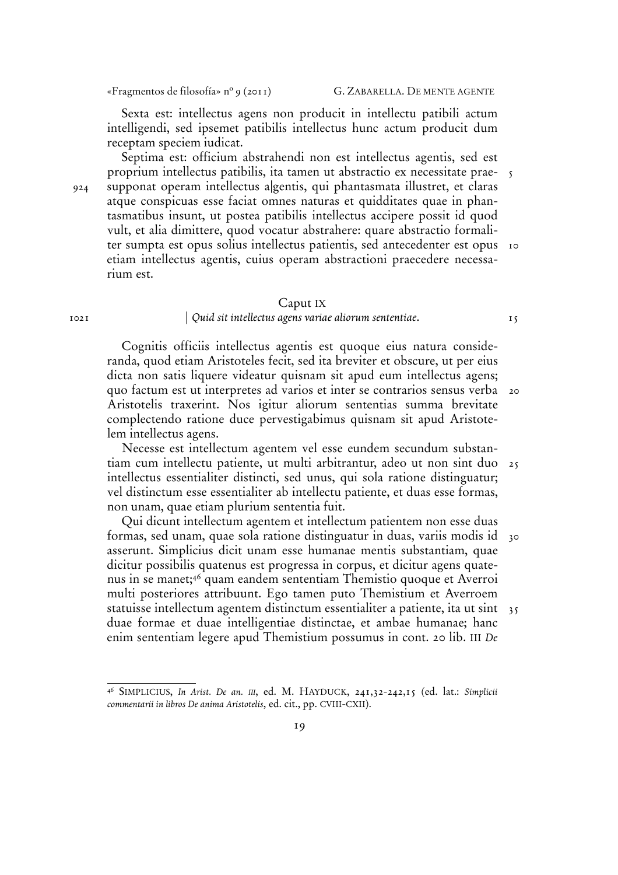Sexta est: intellectus agens non producit in intellectu patibili actum intelligendi, sed ipsemet patibilis intellectus hunc actum producit dum receptam speciem iudicat.

Septima est: officium abstrahendi non est intellectus agentis, sed est proprium intellectus patibilis, ita tamen ut abstractio ex necessitate prae- 5 924 supponat operam intellectus a|gentis, qui phantasmata illustret, et claras atque conspicuas esse faciat omnes naturas et quidditates quae in phantasmatibus insunt, ut postea patibilis intellectus accipere possit id quod vult, et alia dimittere, quod vocatur abstrahere: quare abstractio formaliter sumpta est opus solius intellectus patientis, sed antecedenter est opus 10 etiam intellectus agentis, cuius operam abstractioni praecedere necessarium est.

#### Caput IX

# 1021 *| Quid sit intellectus agens variae aliorum sententiae*. 15

# Cognitis officiis intellectus agentis est quoque eius natura consideranda, quod etiam Aristoteles fecit, sed ita breviter et obscure, ut per eius dicta non satis liquere videatur quisnam sit apud eum intellectus agens; quo factum est ut interpretes ad varios et inter se contrarios sensus verba 20 Aristotelis traxerint. Nos igitur aliorum sententias summa brevitate complectendo ratione duce pervestigabimus quisnam sit apud Aristote-

lem intellectus agens.

Necesse est intellectum agentem vel esse eundem secundum substantiam cum intellectu patiente, ut multi arbitrantur, adeo ut non sint duo 25 intellectus essentialiter distincti, sed unus, qui sola ratione distinguatur; vel distinctum esse essentialiter ab intellectu patiente, et duas esse formas, non unam, quae etiam plurium sententia fuit.

Qui dicunt intellectum agentem et intellectum patientem non esse duas formas, sed unam, quae sola ratione distinguatur in duas, variis modis id 30 asserunt. Simplicius dicit unam esse humanae mentis substantiam, quae dicitur possibilis quatenus est progressa in corpus, et dicitur agens quatenus in se manet;<sup>46</sup> quam eandem sententiam Themistio quoque et Averroi multi posteriores attribuunt. Ego tamen puto Themistium et Averroem statuisse intellectum agentem distinctum essentialiter a patiente, ita ut sint 35 duae formae et duae intelligentiae distinctae, et ambae humanae; hanc enim sententiam legere apud Themistium possumus in cont. 20 lib. III *De*

<sup>46</sup> SIMPLICIUS, *In Arist. De an. III*, ed. M. HAYDUCK, 241,32-242,15 (ed. lat.: *Simplicii commentarii in libros De anima Aristotelis*, ed. cit., pp. CVIII-CXII).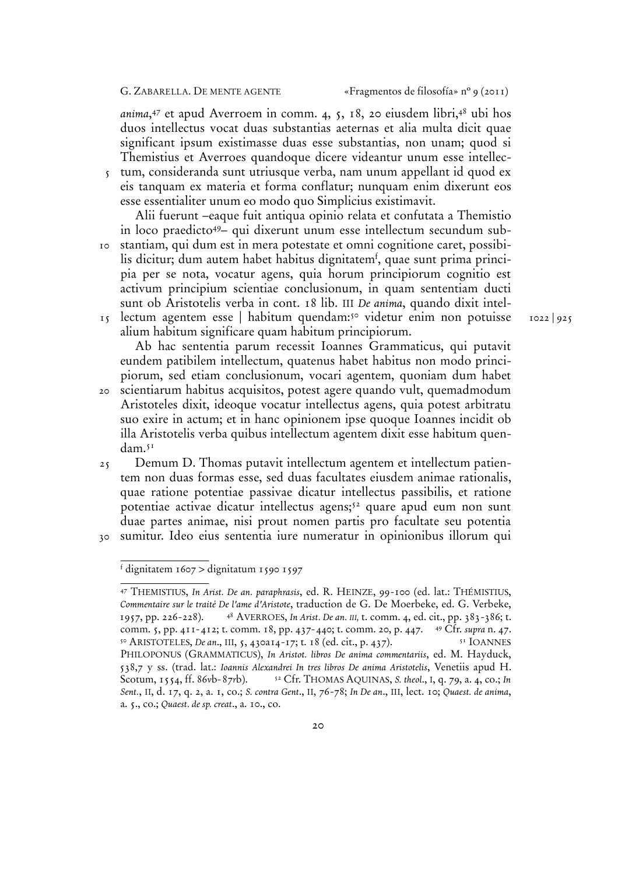*anima*, <sup>47</sup> et apud Averroem in comm. 4, 5, 18, 20 eiusdem libri,<sup>48</sup> ubi hos duos intellectus vocat duas substantias aeternas et alia multa dicit quae significant ipsum existimasse duas esse substantias, non unam; quod si Themistius et Averroes quandoque dicere videantur unum esse intellec-5 tum, consideranda sunt utriusque verba, nam unum appellant id quod ex

eis tanquam ex materia et forma conflatur; nunquam enim dixerunt eos esse essentialiter unum eo modo quo Simplicius existimavit.

Alii fuerunt –eaque fuit antiqua opinio relata et confutata a Themistio in loco praedicto49– qui dixerunt unum esse intellectum secundum sub-10 stantiam, qui dum est in mera potestate et omni cognitione caret, possibi-

- 
- lis dicitur; dum autem habet habitus dignitatem<sup>f</sup>, quae sunt prima principia per se nota, vocatur agens, quia horum principiorum cognitio est activum principium scientiae conclusionum, in quam sententiam ducti sunt ob Aristotelis verba in cont. 18 lib. III *De anima*, quando dixit intel- $\frac{1}{5}$  lectum agentem esse | habitum quendam:<sup>50</sup> videtur enim non potuisse  $\frac{1}{2}$  1925
- alium habitum significare quam habitum principiorum.

Ab hac sententia parum recessit Ioannes Grammaticus, qui putavit eundem patibilem intellectum, quatenus habet habitus non modo principiorum, sed etiam conclusionum, vocari agentem, quoniam dum habet

- 20 scientiarum habitus acquisitos, potest agere quando vult, quemadmodum Aristoteles dixit, ideoque vocatur intellectus agens, quia potest arbitratu suo exire in actum; et in hanc opinionem ipse quoque Ioannes incidit ob illa Aristotelis verba quibus intellectum agentem dixit esse habitum quendam.<sup>51</sup>
- 25 Demum D. Thomas putavit intellectum agentem et intellectum patientem non duas formas esse, sed duas facultates eiusdem animae rationalis, quae ratione potentiae passivae dicatur intellectus passibilis, et ratione potentiae activae dicatur intellectus agens;<sup>52</sup> quare apud eum non sunt duae partes animae, nisi prout nomen partis pro facultate seu potentia 30 sumitur. Ideo eius sententia iure numeratur in opinionibus illorum qui

f dignitatem 1607 > dignitatum 1590 1597

<sup>47</sup> THEMISTIUS, *In Arist. De an. paraphrasis*, ed. R. HEINZE, 99-100 (ed. lat.: THÉMISTIUS, *Commentaire sur le traité De l'ame d'Aristote*, traduction de G. De Moerbeke, ed. G. Verbeke, 1957, pp. 226-228). <sup>48</sup> AVERROES, *In Arist. De an. III,* t. comm. 4, ed. cit., pp. 383-386; t. comm. 5, pp. 411-412; t. comm. 18, pp. 437-440; t. comm. 20, p. 447. <sup>49</sup> Cfr. *supra* n. 47. <sup>50</sup> ARISTOTELES, *De an*., III, 5, 430a14-17; t. 18 (ed. cit., p. 437). <sup>51</sup> IOANNES PHILOPONUS (GRAMMATICUS), *In Aristot. libros De anima commentariis*, ed. M. Hayduck, 538,7 y ss. (trad. lat.: *Ioannis Alexandrei In tres libros De anima Aristotelis*, Venetiis apud H. Scotum, 1554, ff. 86*v*b-87*r*b). <sup>52</sup> Cfr. THOMAS AQUINAS, *S. theol*., I, q. 79, a. 4, co.; *In Sent.*, II, d. 17, q. 2, a. 1, co.; *S. contra Gent*., II, 76-78; *In De an*., III, lect. 10; *Quaest. de anima*, a. 5., co.; *Quaest. de sp. creat*., a. 10., co.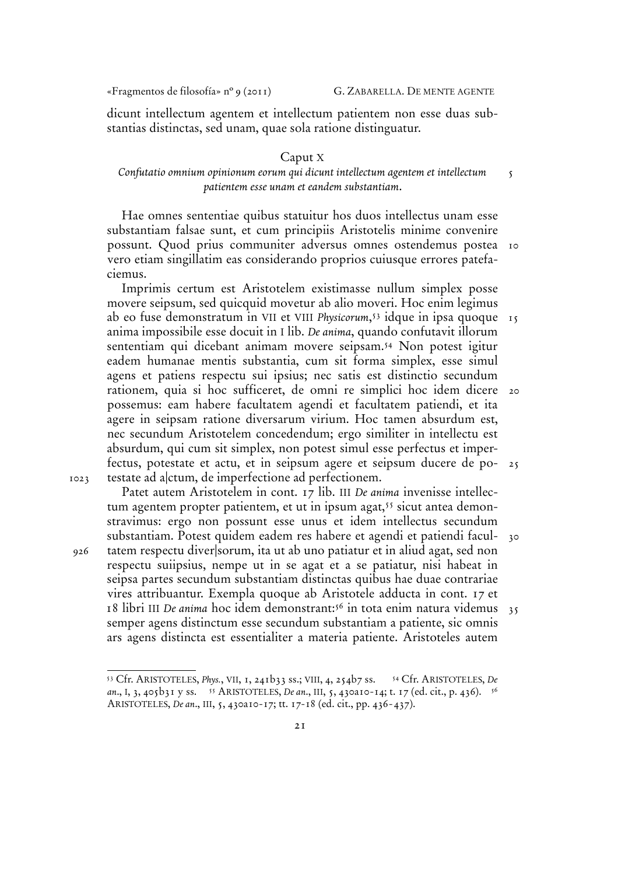dicunt intellectum agentem et intellectum patientem non esse duas substantias distinctas, sed unam, quae sola ratione distinguatur.

# Caput X

# *Confutatio omnium opinionum eorum qui dicunt intellectum agentem et intellectum* 5 *patientem esse unam et eandem substantiam*.

Hae omnes sententiae quibus statuitur hos duos intellectus unam esse substantiam falsae sunt, et cum principiis Aristotelis minime convenire possunt. Quod prius communiter adversus omnes ostendemus postea 10 vero etiam singillatim eas considerando proprios cuiusque errores patefaciemus.

Imprimis certum est Aristotelem existimasse nullum simplex posse movere seipsum, sed quicquid movetur ab alio moveri. Hoc enim legimus ab eo fuse demonstratum in VII et VIII *Physicorum*, <sup>53</sup> idque in ipsa quoque 15 anima impossibile esse docuit in I lib. *De anima*, quando confutavit illorum sententiam qui dicebant animam movere seipsam.<sup>54</sup> Non potest igitur eadem humanae mentis substantia, cum sit forma simplex, esse simul agens et patiens respectu sui ipsius; nec satis est distinctio secundum rationem, quia si hoc sufficeret, de omni re simplici hoc idem dicere 20 possemus: eam habere facultatem agendi et facultatem patiendi, et ita agere in seipsam ratione diversarum virium. Hoc tamen absurdum est, nec secundum Aristotelem concedendum; ergo similiter in intellectu est absurdum, qui cum sit simplex, non potest simul esse perfectus et imperfectus, potestate et actu, et in seipsum agere et seipsum ducere de po- 25 1023 testate ad a|ctum, de imperfectione ad perfectionem.

Patet autem Aristotelem in cont. 17 lib. III *De anima* invenisse intellectum agentem propter patientem, et ut in ipsum agat,<sup>55</sup> sicut antea demonstravimus: ergo non possunt esse unus et idem intellectus secundum substantiam. Potest quidem eadem res habere et agendi et patiendi facul- 30 926 tatem respectu diver|sorum, ita ut ab uno patiatur et in aliud agat, sed non respectu suiipsius, nempe ut in se agat et a se patiatur, nisi habeat in seipsa partes secundum substantiam distinctas quibus hae duae contrariae

vires attribuantur. Exempla quoque ab Aristotele adducta in cont. 17 et 18 libri III *De anima* hoc idem demonstrant:<sup>56</sup> in tota enim natura videmus 35 semper agens distinctum esse secundum substantiam a patiente, sic omnis ars agens distincta est essentialiter a materia patiente. Aristoteles autem

<sup>53</sup> Cfr. ARISTOTELES, *Phys.*, VII, 1, 241b33 ss.; VIII, 4, 254b7 ss. <sup>54</sup> Cfr. ARISTOTELES, *De an*., I, 3, 405b31 y ss. <sup>55</sup> ARISTOTELES, *De an*., III, 5, 430a10-14; t. 17 (ed. cit., p. 436). 56 ARISTOTELES, *De an*., III, 5, 430a10-17; tt. 17-18 (ed. cit., pp. 436-437).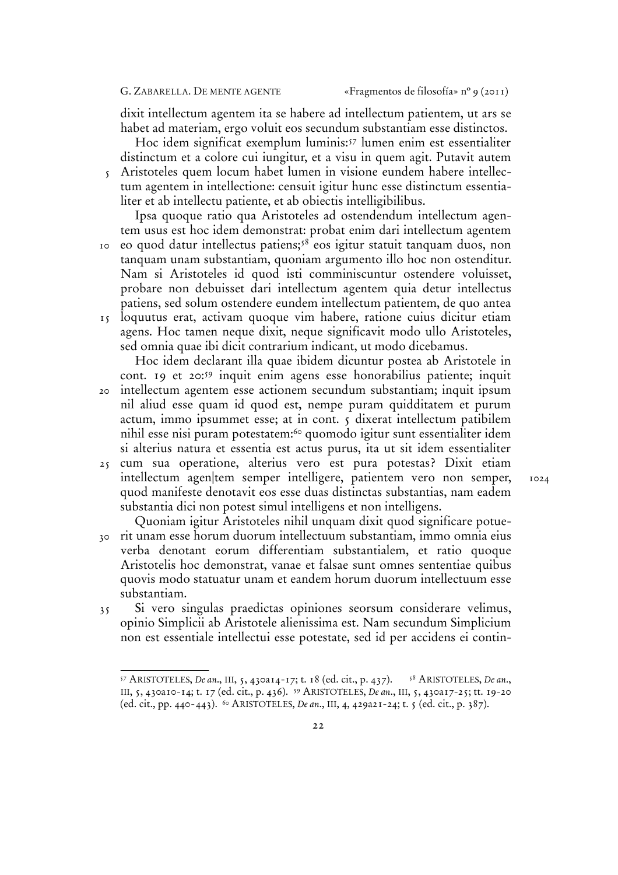dixit intellectum agentem ita se habere ad intellectum patientem, ut ars se habet ad materiam, ergo voluit eos secundum substantiam esse distinctos.

Hoc idem significat exemplum luminis:<sup>57</sup> lumen enim est essentialiter distinctum et a colore cui iungitur, et a visu in quem agit. Putavit autem

5 Aristoteles quem locum habet lumen in visione eundem habere intellectum agentem in intellectione: censuit igitur hunc esse distinctum essentialiter et ab intellectu patiente, et ab obiectis intelligibilibus.

Ipsa quoque ratio qua Aristoteles ad ostendendum intellectum agentem usus est hoc idem demonstrat: probat enim dari intellectum agentem

- 10 eo quod datur intellectus patiens;<sup>58</sup> eos igitur statuit tanquam duos, non tanquam unam substantiam, quoniam argumento illo hoc non ostenditur. Nam si Aristoteles id quod isti comminiscuntur ostendere voluisset, probare non debuisset dari intellectum agentem quia detur intellectus patiens, sed solum ostendere eundem intellectum patientem, de quo antea
- 15 loquutus erat, activam quoque vim habere, ratione cuius dicitur etiam agens. Hoc tamen neque dixit, neque significavit modo ullo Aristoteles, sed omnia quae ibi dicit contrarium indicant, ut modo dicebamus.

Hoc idem declarant illa quae ibidem dicuntur postea ab Aristotele in cont. 19 et 20:<sup>59</sup> inquit enim agens esse honorabilius patiente; inquit

- 20 intellectum agentem esse actionem secundum substantiam; inquit ipsum nil aliud esse quam id quod est, nempe puram quidditatem et purum actum, immo ipsummet esse; at in cont. 5 dixerat intellectum patibilem nihil esse nisi puram potestatem:<sup>60</sup> quomodo igitur sunt essentialiter idem si alterius natura et essentia est actus purus, ita ut sit idem essentialiter
- 25 cum sua operatione, alterius vero est pura potestas? Dixit etiam intellectum agen|tem semper intelligere, patientem vero non semper, 1024 quod manifeste denotavit eos esse duas distinctas substantias, nam eadem substantia dici non potest simul intelligens et non intelligens.

- Quoniam igitur Aristoteles nihil unquam dixit quod significare potue-30 rit unam esse horum duorum intellectuum substantiam, immo omnia eius verba denotant eorum differentiam substantialem, et ratio quoque Aristotelis hoc demonstrat, vanae et falsae sunt omnes sententiae quibus quovis modo statuatur unam et eandem horum duorum intellectuum esse substantiam.
- 35 Si vero singulas praedictas opiniones seorsum considerare velimus, opinio Simplicii ab Aristotele alienissima est. Nam secundum Simplicium non est essentiale intellectui esse potestate, sed id per accidens ei contin-

<sup>57</sup> ARISTOTELES, *De an*., III, 5, 430a14-17; t. 18 (ed. cit., p. 437). <sup>58</sup> ARISTOTELES, *De an*., III, 5, 430a10-14; t. 17 (ed. cit., p. 436). <sup>59</sup> ARISTOTELES, *De an*., III, 5, 430a17-25; tt. 19-20 (ed. cit., pp. 440-443). <sup>60</sup> ARISTOTELES, *De an*., III, 4, 429a21-24; t. 5 (ed. cit., p. 387).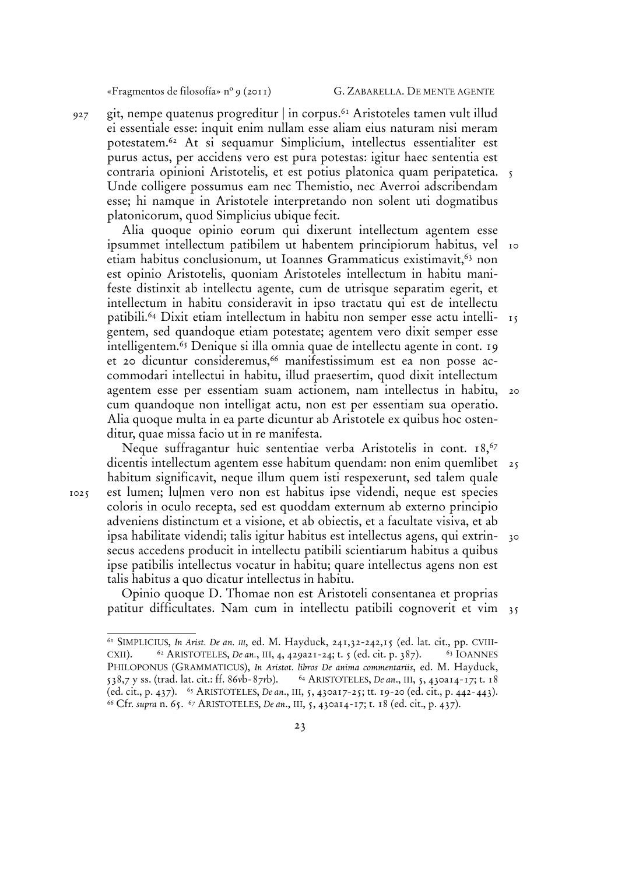927 git, nempe quatenus progreditur  $\vert$  in corpus.<sup>61</sup> Aristoteles tamen vult illud ei essentiale esse: inquit enim nullam esse aliam eius naturam nisi meram potestatem.<sup>62</sup> At si sequamur Simplicium, intellectus essentialiter est purus actus, per accidens vero est pura potestas: igitur haec sententia est contraria opinioni Aristotelis, et est potius platonica quam peripatetica. 5 Unde colligere possumus eam nec Themistio, nec Averroi adscribendam esse; hi namque in Aristotele interpretando non solent uti dogmatibus platonicorum, quod Simplicius ubique fecit.

Alia quoque opinio eorum qui dixerunt intellectum agentem esse ipsummet intellectum patibilem ut habentem principiorum habitus, vel 10 etiam habitus conclusionum, ut Ioannes Grammaticus existimavit,<sup>63</sup> non est opinio Aristotelis, quoniam Aristoteles intellectum in habitu manifeste distinxit ab intellectu agente, cum de utrisque separatim egerit, et intellectum in habitu consideravit in ipso tractatu qui est de intellectu patibili.<sup>64</sup> Dixit etiam intellectum in habitu non semper esse actu intelli- 15 gentem, sed quandoque etiam potestate; agentem vero dixit semper esse intelligentem.<sup>65</sup> Denique si illa omnia quae de intellectu agente in cont. 19 et 20 dicuntur consideremus,<sup>66</sup> manifestissimum est ea non posse accommodari intellectui in habitu, illud praesertim, quod dixit intellectum agentem esse per essentiam suam actionem, nam intellectus in habitu, 20 cum quandoque non intelligat actu, non est per essentiam sua operatio. Alia quoque multa in ea parte dicuntur ab Aristotele ex quibus hoc ostenditur, quae missa facio ut in re manifesta.

Neque suffragantur huic sententiae verba Aristotelis in cont. 18,67 dicentis intellectum agentem esse habitum quendam: non enim quemlibet 25 habitum significavit, neque illum quem isti respexerunt, sed talem quale 1025 est lumen; lu|men vero non est habitus ipse videndi, neque est species coloris in oculo recepta, sed est quoddam externum ab externo principio adveniens distinctum et a visione, et ab obiectis, et a facultate visiva, et ab ipsa habilitate videndi; talis igitur habitus est intellectus agens, qui extrin- 30 secus accedens producit in intellectu patibili scientiarum habitus a quibus ipse patibilis intellectus vocatur in habitu; quare intellectus agens non est talis habitus a quo dicatur intellectus in habitu.

Opinio quoque D. Thomae non est Aristoteli consentanea et proprias patitur difficultates. Nam cum in intellectu patibili cognoverit et vim 35

<sup>61</sup> SIMPLICIUS, *In Arist. De an. III*, ed. M. Hayduck, 241,32-242,15 (ed. lat. cit., pp. CVIII-CXII). <sup>62</sup> ARISTOTELES, *De an.*, III, 4, 429a21-24; t. 5 (ed. cit. p. 387). <sup>63</sup> IOANNES PHILOPONUS (GRAMMATICUS), *In Aristot. libros De anima commentariis*, ed. M. Hayduck, 538,7 y ss. (trad. lat. cit.: ff. 86*v*b-87*r*b). <sup>64</sup> ARISTOTELES, *De an*., III, 5, 430a14-17; t. 18 (ed. cit., p. 437). <sup>65</sup> ARISTOTELES, *De an*., III, 5, 430a17-25; tt. 19-20 (ed. cit., p. 442-443). <sup>66</sup> Cfr. *supra* n. 65. <sup>67</sup> ARISTOTELES, *De an*., III, 5, 430a14-17; t. 18 (ed. cit., p. 437).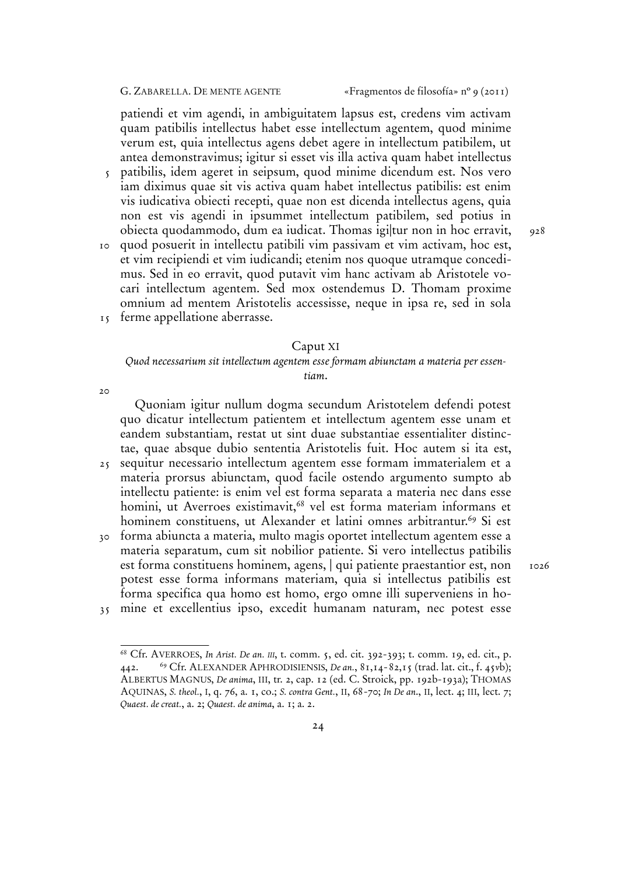patiendi et vim agendi, in ambiguitatem lapsus est, credens vim activam quam patibilis intellectus habet esse intellectum agentem, quod minime verum est, quia intellectus agens debet agere in intellectum patibilem, ut antea demonstravimus; igitur si esset vis illa activa quam habet intellectus

- 5 patibilis, idem ageret in seipsum, quod minime dicendum est. Nos vero iam diximus quae sit vis activa quam habet intellectus patibilis: est enim vis iudicativa obiecti recepti, quae non est dicenda intellectus agens, quia non est vis agendi in ipsummet intellectum patibilem, sed potius in obiecta quodammodo, dum ea iudicat. Thomas igi|tur non in hoc erravit, 928
- 10 quod posuerit in intellectu patibili vim passivam et vim activam, hoc est, et vim recipiendi et vim iudicandi; etenim nos quoque utramque concedimus. Sed in eo erravit, quod putavit vim hanc activam ab Aristotele vocari intellectum agentem. Sed mox ostendemus D. Thomam proxime omnium ad mentem Aristotelis accessisse, neque in ipsa re, sed in sola 15 ferme appellatione aberrasse.

#### Caput XI

# *Quod necessarium sit intellectum agentem esse formam abiunctam a materia per essentiam*.

20

Quoniam igitur nullum dogma secundum Aristotelem defendi potest quo dicatur intellectum patientem et intellectum agentem esse unam et eandem substantiam, restat ut sint duae substantiae essentialiter distinctae, quae absque dubio sententia Aristotelis fuit. Hoc autem si ita est,

- 25 sequitur necessario intellectum agentem esse formam immaterialem et a materia prorsus abiunctam, quod facile ostendo argumento sumpto ab intellectu patiente: is enim vel est forma separata a materia nec dans esse homini, ut Averroes existimavit,<sup>68</sup> vel est forma materiam informans et hominem constituens, ut Alexander et latini omnes arbitrantur.<sup>69</sup> Si est
- 30 forma abiuncta a materia, multo magis oportet intellectum agentem esse a materia separatum, cum sit nobilior patiente. Si vero intellectus patibilis est forma constituens hominem, agens, | qui patiente praestantior est, non 1026 potest esse forma informans materiam, quia si intellectus patibilis est forma specifica qua homo est homo, ergo omne illi superveniens in ho-

35 mine et excellentius ipso, excedit humanam naturam, nec potest esse

<sup>68</sup> Cfr. AVERROES, *In Arist. De an. III*, t. comm. 5, ed. cit. 392-393; t. comm. 19, ed. cit., p. 442. <sup>69</sup> Cfr. ALEXANDER APHRODISIENSIS, *De an.*, 81,14-82,15 (trad. lat. cit., f. 45*v*b); ALBERTUS MAGNUS, *De anima*, III, tr. 2, cap. 12 (ed. C. Stroick, pp. 192b-193a); THOMAS AQUINAS, *S. theol.*, I, q. 76, a. 1, co.; *S. contra Gent.*, II, 68-70; *In De an*., II, lect. 4; III, lect. 7; *Quaest. de creat.*, a. 2; *Quaest. de anima*, a. 1; a. 2.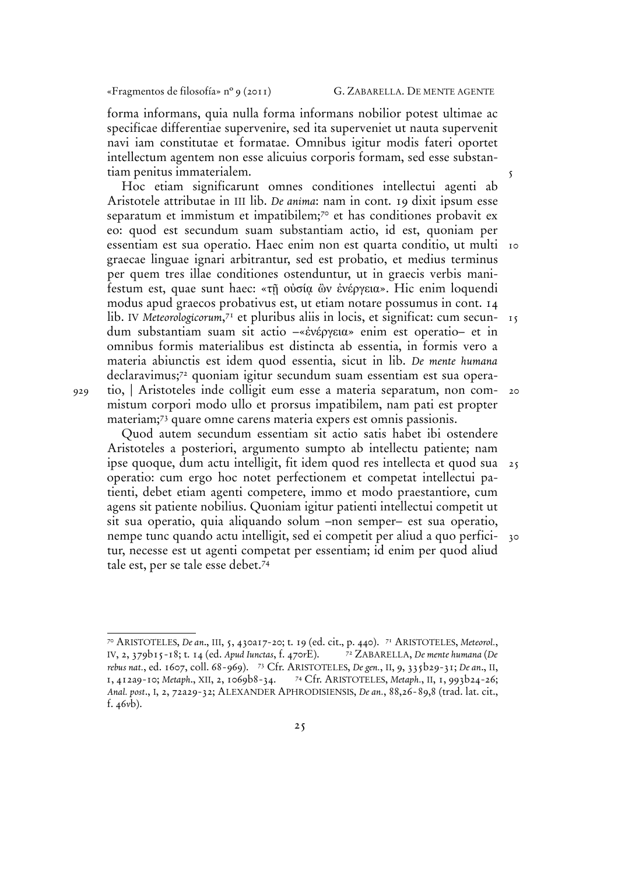forma informans, quia nulla forma informans nobilior potest ultimae ac specificae differentiae supervenire, sed ita superveniet ut nauta supervenit navi iam constitutae et formatae. Omnibus igitur modis fateri oportet intellectum agentem non esse alicuius corporis formam, sed esse substantiam penitus immaterialem. 5

Hoc etiam significarunt omnes conditiones intellectui agenti ab Aristotele attributae in III lib. *De anima*: nam in cont. 19 dixit ipsum esse separatum et immistum et impatibilem;<sup>70</sup> et has conditiones probavit ex eo: quod est secundum suam substantiam actio, id est, quoniam per essentiam est sua operatio. Haec enim non est quarta conditio, ut multi 10 graecae linguae ignari arbitrantur, sed est probatio, et medius terminus per quem tres illae conditiones ostenduntur, ut in graecis verbis manifestum est, quae sunt haec: «τῇ οὐσίᾳ ὢν ἐνέργεια». Hic enim loquendi modus apud graecos probativus est, ut etiam notare possumus in cont. 14 lib. IV *Meteorologicorum*, <sup>71</sup> et pluribus aliis in locis, et significat: cum secun- 15 dum substantiam suam sit actio –«ἐνέργεια» enim est operatio– et in omnibus formis materialibus est distincta ab essentia, in formis vero a materia abiunctis est idem quod essentia, sicut in lib. *De mente humana* declaravimus;72 quoniam igitur secundum suam essentiam est sua opera-929 tio, | Aristoteles inde colligit eum esse a materia separatum, non com- 20 mistum corpori modo ullo et prorsus impatibilem, nam pati est propter materiam;<sup>73</sup> quare omne carens materia expers est omnis passionis.

Quod autem secundum essentiam sit actio satis habet ibi ostendere Aristoteles a posteriori, argumento sumpto ab intellectu patiente; nam ipse quoque, dum actu intelligit, fit idem quod res intellecta et quod sua 25 operatio: cum ergo hoc notet perfectionem et competat intellectui patienti, debet etiam agenti competere, immo et modo praestantiore, cum agens sit patiente nobilius. Quoniam igitur patienti intellectui competit ut sit sua operatio, quia aliquando solum –non semper– est sua operatio, nempe tunc quando actu intelligit, sed ei competit per aliud a quo perfici- 30 tur, necesse est ut agenti competat per essentiam; id enim per quod aliud tale est, per se tale esse debet.<sup>74</sup>

<sup>70</sup> ARISTOTELES, *De an*., III, 5, 430a17-20; t. 19 (ed. cit., p. 440). <sup>71</sup> ARISTOTELES, *Meteorol.*, IV, 2, 379b15-18; t. 14 (ed. *Apud Iunctas*, f. 470*r*E). <sup>72</sup> ZABARELLA, *De mente humana* (*De rebus nat.*, ed. 1607, coll. 68-969). <sup>73</sup> Cfr. ARISTOTELES, *De gen.*, II, 9, 335b29-31; *De an*., II, 1, 412a9-10; *Metaph*., XII, 2, 1069b8-34. <sup>74</sup> Cfr. ARISTOTELES, *Metaph.*, II, 1, 993b24-26; *Anal. post*., I, 2, 72a29-32; ALEXANDER APHRODISIENSIS, *De an.*, 88,26-89,8 (trad. lat. cit., f. 46*v*b).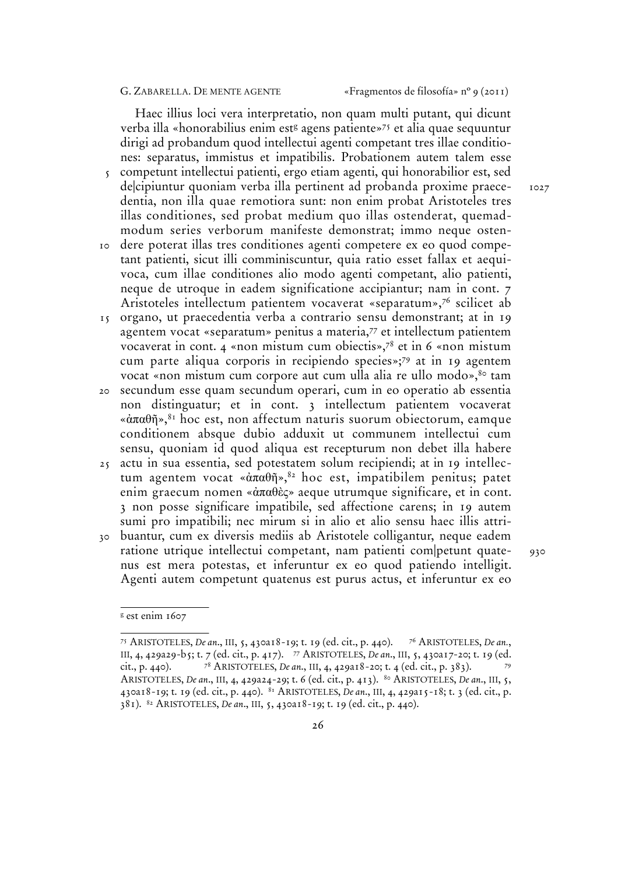G. ZABARELLA. DE MENTE AGENTE«Fragmentos de filosofía» nº 9 (2011)

Haec illius loci vera interpretatio, non quam multi putant, qui dicunt verba illa «honorabilius enim est<sup>g</sup> agens patiente»<sup>75</sup> et alia quae sequuntur dirigi ad probandum quod intellectui agenti competant tres illae conditiones: separatus, immistus et impatibilis. Probationem autem talem esse

- 5 competunt intellectui patienti, ergo etiam agenti, qui honorabilior est, sed de|cipiuntur quoniam verba illa pertinent ad probanda proxime praece- 1027 dentia, non illa quae remotiora sunt: non enim probat Aristoteles tres illas conditiones, sed probat medium quo illas ostenderat, quemadmodum series verborum manifeste demonstrat; immo neque osten-
- 10 dere poterat illas tres conditiones agenti competere ex eo quod competant patienti, sicut illi comminiscuntur, quia ratio esset fallax et aequivoca, cum illae conditiones alio modo agenti competant, alio patienti, neque de utroque in eadem significatione accipiantur; nam in cont. 7 Aristoteles intellectum patientem vocaverat «separatum»,<sup>76</sup> scilicet ab
- 15 organo, ut praecedentia verba a contrario sensu demonstrant; at in 19 agentem vocat «separatum» penitus a materia,<sup>77</sup> et intellectum patientem vocaverat in cont. 4 «non mistum cum obiectis»,<sup>78</sup> et in 6 «non mistum cum parte aliqua corporis in recipiendo species»;<sup>79</sup> at in 19 agentem vocat «non mistum cum corpore aut cum ulla alia re ullo modo»,<sup>80</sup> tam
- 20 secundum esse quam secundum operari, cum in eo operatio ab essentia non distinguatur; et in cont. 3 intellectum patientem vocaverat  $\langle \hat{\alpha} \pi \alpha \theta \tilde{\eta} \rangle$ <sup>81</sup> hoc est, non affectum naturis suorum obiectorum, eamque conditionem absque dubio adduxit ut communem intellectui cum sensu, quoniam id quod aliqua est recepturum non debet illa habere
- 25 actu in sua essentia, sed potestatem solum recipiendi; at in 19 intellectum agentem vocat «ἀπαθῆ»,<sup>82</sup> hoc est, impatibilem penitus; patet enim graecum nomen «ἀπαθὲς» aeque utrumque significare, et in cont. 3 non posse significare impatibile, sed affectione carens; in 19 autem sumi pro impatibili; nec mirum si in alio et alio sensu haec illis attri-
- 30 buantur, cum ex diversis mediis ab Aristotele colligantur, neque eadem ratione utrique intellectui competant, nam patienti com|petunt quate- 930 nus est mera potestas, et inferuntur ex eo quod patiendo intelligit. Agenti autem competunt quatenus est purus actus, et inferuntur ex eo

g est enim 1607

<sup>75</sup> ARISTOTELES, *De an*., III, 5, 430a18-19; t. 19 (ed. cit., p. 440). <sup>76</sup> ARISTOTELES, *De an.*, III, 4, 429a29-b5; t. 7 (ed. cit., p. 417). <sup>77</sup> ARISTOTELES, *De an*., III, 5, 430a17-20; t. 19 (ed. cit., p. 440). <sup>78</sup> ARISTOTELES, *De an*., III, 4, 429a18-20; t. 4 (ed. cit., p. 383). 79 ARISTOTELES, *De an*., III, 4, 429a24-29; t. 6 (ed. cit., p. 413). <sup>80</sup> ARISTOTELES, *De an*., III, 5, 430a18-19; t. 19 (ed. cit., p. 440). <sup>81</sup> ARISTOTELES, *De an*., III, 4, 429a15-18; t. 3 (ed. cit., p. 381). <sup>82</sup> ARISTOTELES, *De an*., III, 5, 430a18-19; t. 19 (ed. cit., p. 440).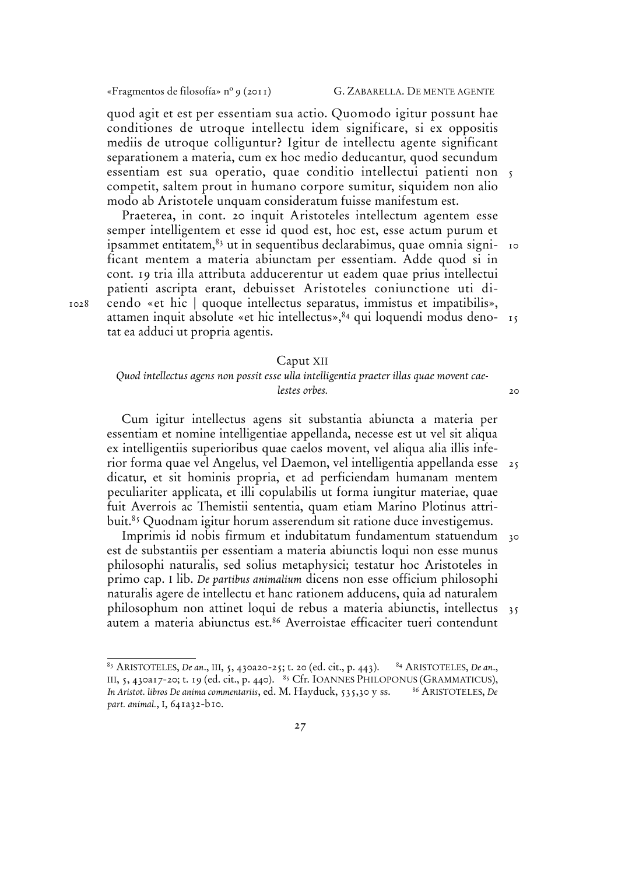quod agit et est per essentiam sua actio. Quomodo igitur possunt hae conditiones de utroque intellectu idem significare, si ex oppositis mediis de utroque colliguntur? Igitur de intellectu agente significant separationem a materia, cum ex hoc medio deducantur, quod secundum essentiam est sua operatio, quae conditio intellectui patienti non 5 competit, saltem prout in humano corpore sumitur, siquidem non alio modo ab Aristotele unquam consideratum fuisse manifestum est.

Praeterea, in cont. 20 inquit Aristoteles intellectum agentem esse semper intelligentem et esse id quod est, hoc est, esse actum purum et ipsammet entitatem,<sup>83</sup> ut in sequentibus declarabimus, quae omnia signi- 10 ficant mentem a materia abiunctam per essentiam. Adde quod si in cont. 19 tria illa attributa adducerentur ut eadem quae prius intellectui patienti ascripta erant, debuisset Aristoteles coniunctione uti di-1028 cendo «et hic | quoque intellectus separatus, immistus et impatibilis», attamen inquit absolute «et hic intellectus», $84$  qui loquendi modus deno- $15$ tat ea adduci ut propria agentis.

#### Caput XII

# *Quod intellectus agens non possit esse ulla intelligentia praeter illas quae movent caelestes orbes.* 20

Cum igitur intellectus agens sit substantia abiuncta a materia per essentiam et nomine intelligentiae appellanda, necesse est ut vel sit aliqua ex intelligentiis superioribus quae caelos movent, vel aliqua alia illis inferior forma quae vel Angelus, vel Daemon, vel intelligentia appellanda esse 25 dicatur, et sit hominis propria, et ad perficiendam humanam mentem peculiariter applicata, et illi copulabilis ut forma iungitur materiae, quae fuit Averrois ac Themistii sententia, quam etiam Marino Plotinus attribuit.<sup>85</sup> Quodnam igitur horum asserendum sit ratione duce investigemus.

Imprimis id nobis firmum et indubitatum fundamentum statuendum 30 est de substantiis per essentiam a materia abiunctis loqui non esse munus philosophi naturalis, sed solius metaphysici; testatur hoc Aristoteles in primo cap. I lib. *De partibus animalium* dicens non esse officium philosophi naturalis agere de intellectu et hanc rationem adducens, quia ad naturalem philosophum non attinet loqui de rebus a materia abiunctis, intellectus 35 autem a materia abiunctus est.<sup>86</sup> Averroistae efficaciter tueri contendunt

<sup>83</sup> ARISTOTELES, *De an*., III, 5, 430a20-25; t. 20 (ed. cit., p. 443). <sup>84</sup> ARISTOTELES, *De an*., III, 5, 430a17-20; t. 19 (ed. cit., p. 440). <sup>85</sup> Cfr. IOANNES PHILOPONUS (GRAMMATICUS), *In Aristot. libros De anima commentariis*, ed. M. Hayduck, 535,30 y ss. <sup>86</sup> ARISTOTELES, *De part. animal.*, I, 641a32-b10.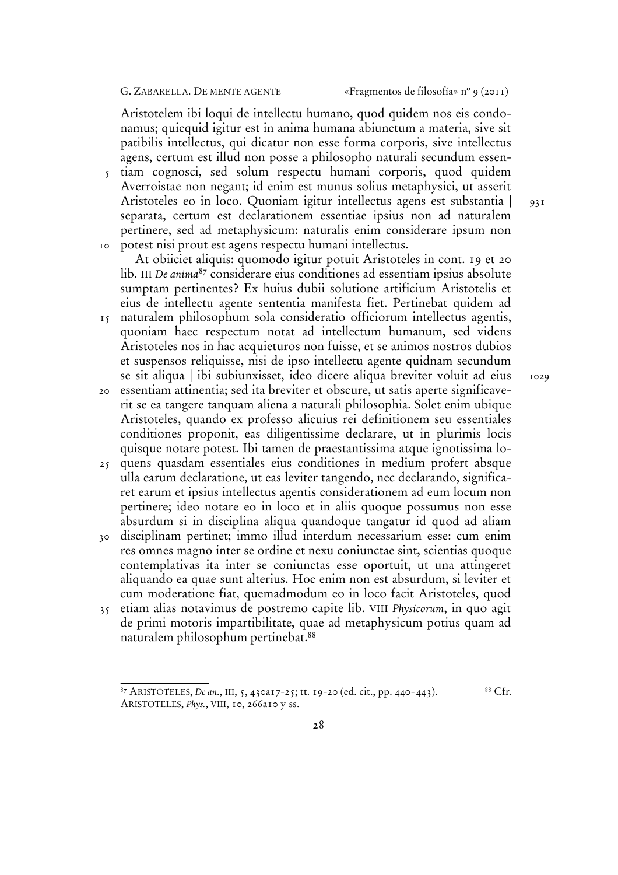Aristotelem ibi loqui de intellectu humano, quod quidem nos eis condonamus; quicquid igitur est in anima humana abiunctum a materia, sive sit patibilis intellectus, qui dicatur non esse forma corporis, sive intellectus agens, certum est illud non posse a philosopho naturali secundum essen-

5 tiam cognosci, sed solum respectu humani corporis, quod quidem Averroistae non negant; id enim est munus solius metaphysici, ut asserit Aristoteles eo in loco. Quoniam igitur intellectus agens est substantia | 931 separata, certum est declarationem essentiae ipsius non ad naturalem pertinere, sed ad metaphysicum: naturalis enim considerare ipsum non 10 potest nisi prout est agens respectu humani intellectus.

At obiiciet aliquis: quomodo igitur potuit Aristoteles in cont. 19 et 20 lib. III *De anima*<sup>87</sup> considerare eius conditiones ad essentiam ipsius absolute sumptam pertinentes? Ex huius dubii solutione artificium Aristotelis et eius de intellectu agente sententia manifesta fiet. Pertinebat quidem ad

- 15 naturalem philosophum sola consideratio officiorum intellectus agentis, quoniam haec respectum notat ad intellectum humanum, sed videns Aristoteles nos in hac acquieturos non fuisse, et se animos nostros dubios et suspensos reliquisse, nisi de ipso intellectu agente quidnam secundum se sit aliqua | ibi subiunxisset, ideo dicere aliqua breviter voluit ad eius 1029
- 20 essentiam attinentia; sed ita breviter et obscure, ut satis aperte significaverit se ea tangere tanquam aliena a naturali philosophia. Solet enim ubique Aristoteles, quando ex professo alicuius rei definitionem seu essentiales conditiones proponit, eas diligentissime declarare, ut in plurimis locis quisque notare potest. Ibi tamen de praestantissima atque ignotissima lo-
- 25 quens quasdam essentiales eius conditiones in medium profert absque ulla earum declaratione, ut eas leviter tangendo, nec declarando, significaret earum et ipsius intellectus agentis considerationem ad eum locum non pertinere; ideo notare eo in loco et in aliis quoque possumus non esse absurdum si in disciplina aliqua quandoque tangatur id quod ad aliam
- 30 disciplinam pertinet; immo illud interdum necessarium esse: cum enim res omnes magno inter se ordine et nexu coniunctae sint, scientias quoque contemplativas ita inter se coniunctas esse oportuit, ut una attingeret aliquando ea quae sunt alterius. Hoc enim non est absurdum, si leviter et cum moderatione fiat, quemadmodum eo in loco facit Aristoteles, quod
- 35 etiam alias notavimus de postremo capite lib. VIII *Physicorum*, in quo agit de primi motoris impartibilitate, quae ad metaphysicum potius quam ad naturalem philosophum pertinebat.<sup>88</sup>

<sup>87</sup> ARISTOTELES, *De an*., III, 5, 430a17-25; tt. 19-20 (ed. cit., pp. 440-443). <sup>88</sup> Cfr. ARISTOTELES, *Phys.*, VIII, 10, 266a10 y ss.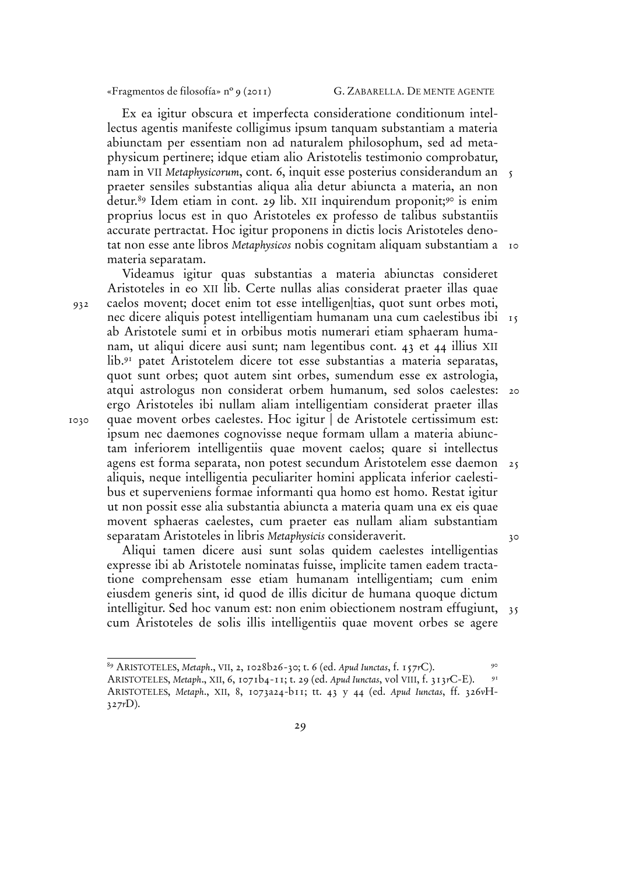Ex ea igitur obscura et imperfecta consideratione conditionum intellectus agentis manifeste colligimus ipsum tanquam substantiam a materia abiunctam per essentiam non ad naturalem philosophum, sed ad metaphysicum pertinere; idque etiam alio Aristotelis testimonio comprobatur, nam in VII *Metaphysicorum*, cont. 6, inquit esse posterius considerandum an 5 praeter sensiles substantias aliqua alia detur abiuncta a materia, an non detur.<sup>89</sup> Idem etiam in cont. 29 lib. XII inquirendum proponit;<sup>90</sup> is enim proprius locus est in quo Aristoteles ex professo de talibus substantiis accurate pertractat. Hoc igitur proponens in dictis locis Aristoteles denotat non esse ante libros *Metaphysicos* nobis cognitam aliquam substantiam a 10 materia separatam.

Videamus igitur quas substantias a materia abiunctas consideret Aristoteles in eo XII lib. Certe nullas alias considerat praeter illas quae 932 caelos movent; docet enim tot esse intelligen|tias, quot sunt orbes moti, nec dicere aliquis potest intelligentiam humanam una cum caelestibus ibi 15 ab Aristotele sumi et in orbibus motis numerari etiam sphaeram humanam, ut aliqui dicere ausi sunt; nam legentibus cont. 43 et 44 illius XII lib.<sup>91</sup> patet Aristotelem dicere tot esse substantias a materia separatas, quot sunt orbes; quot autem sint orbes, sumendum esse ex astrologia, atqui astrologus non considerat orbem humanum, sed solos caelestes: 20 ergo Aristoteles ibi nullam aliam intelligentiam considerat praeter illas 1030 quae movent orbes caelestes. Hoc igitur | de Aristotele certissimum est: ipsum nec daemones cognovisse neque formam ullam a materia abiunctam inferiorem intelligentiis quae movent caelos; quare si intellectus agens est forma separata, non potest secundum Aristotelem esse daemon 25 aliquis, neque intelligentia peculiariter homini applicata inferior caelestibus et superveniens formae informanti qua homo est homo. Restat igitur ut non possit esse alia substantia abiuncta a materia quam una ex eis quae movent sphaeras caelestes, cum praeter eas nullam aliam substantiam separatam Aristoteles in libris *Metaphysicis* consideraverit. 30

Aliqui tamen dicere ausi sunt solas quidem caelestes intelligentias expresse ibi ab Aristotele nominatas fuisse, implicite tamen eadem tractatione comprehensam esse etiam humanam intelligentiam; cum enim eiusdem generis sint, id quod de illis dicitur de humana quoque dictum intelligitur. Sed hoc vanum est: non enim obiectionem nostram effugiunt, 35 cum Aristoteles de solis illis intelligentiis quae movent orbes se agere

<sup>89</sup> ARISTOTELES, *Metaph*., VII, 2, 1028b26-30; t. 6 (ed. *Apud Iunctas*, f. 157*r*C). 90 ARISTOTELES, *Metaph*., XII, 6, 1071b4-11; t. 29 (ed. *Apud Iunctas*, vol VIII, f. 313*r*C-E). 91 ARISTOTELES, *Metaph*., XII, 8, 1073a24-b11; tt. 43 y 44 (ed. *Apud Iunctas*, ff. 326*v*H-327*r*D).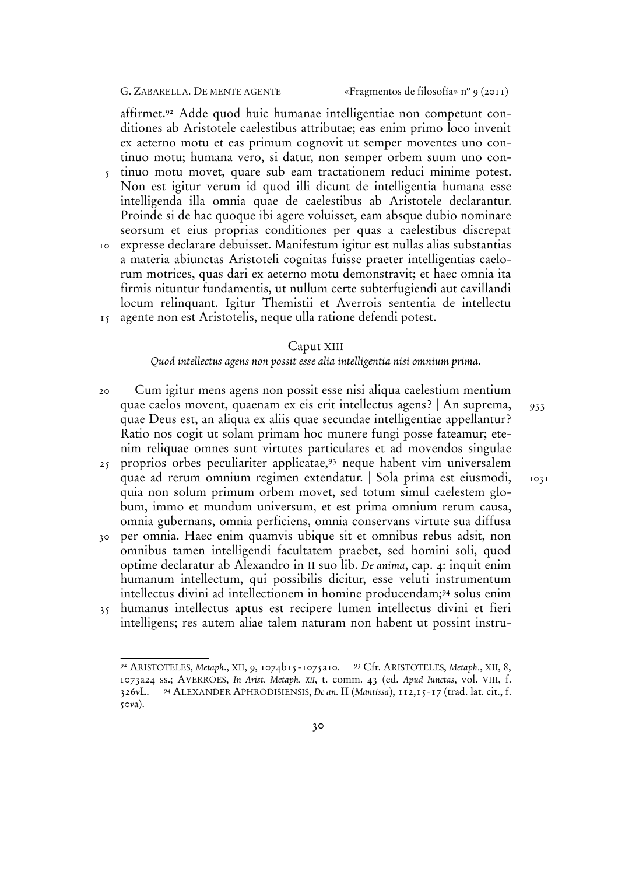affirmet.92 Adde quod huic humanae intelligentiae non competunt conditiones ab Aristotele caelestibus attributae; eas enim primo loco invenit ex aeterno motu et eas primum cognovit ut semper moventes uno continuo motu; humana vero, si datur, non semper orbem suum uno con-

- 5 tinuo motu movet, quare sub eam tractationem reduci minime potest. Non est igitur verum id quod illi dicunt de intelligentia humana esse intelligenda illa omnia quae de caelestibus ab Aristotele declarantur. Proinde si de hac quoque ibi agere voluisset, eam absque dubio nominare seorsum et eius proprias conditiones per quas a caelestibus discrepat
- 10 expresse declarare debuisset. Manifestum igitur est nullas alias substantias a materia abiunctas Aristoteli cognitas fuisse praeter intelligentias caelorum motrices, quas dari ex aeterno motu demonstravit; et haec omnia ita firmis nituntur fundamentis, ut nullum certe subterfugiendi aut cavillandi locum relinquant. Igitur Themistii et Averrois sententia de intellectu 15 agente non est Aristotelis, neque ulla ratione defendi potest.

#### Caput XIII

*Quod intellectus agens non possit esse alia intelligentia nisi omnium prima.*

- 20 Cum igitur mens agens non possit esse nisi aliqua caelestium mentium quae caelos movent, quaenam ex eis erit intellectus agens? | An suprema, 933 quae Deus est, an aliqua ex aliis quae secundae intelligentiae appellantur? Ratio nos cogit ut solam primam hoc munere fungi posse fateamur; etenim reliquae omnes sunt virtutes particulares et ad movendos singulae
- 25 proprios orbes peculiariter applicatae,<sup>93</sup> neque habent vim universalem quae ad rerum omnium regimen extendatur. | Sola prima est eiusmodi, 1031 quia non solum primum orbem movet, sed totum simul caelestem globum, immo et mundum universum, et est prima omnium rerum causa, omnia gubernans, omnia perficiens, omnia conservans virtute sua diffusa
- 30 per omnia. Haec enim quamvis ubique sit et omnibus rebus adsit, non omnibus tamen intelligendi facultatem praebet, sed homini soli, quod optime declaratur ab Alexandro in II suo lib. *De anima*, cap. 4: inquit enim humanum intellectum, qui possibilis dicitur, esse veluti instrumentum intellectus divini ad intellectionem in homine producendam;<sup>94</sup> solus enim
- 35 humanus intellectus aptus est recipere lumen intellectus divini et fieri intelligens; res autem aliae talem naturam non habent ut possint instru-

<sup>92</sup> ARISTOTELES, *Metaph*., XII, 9, 1074b15-1075a10. <sup>93</sup> Cfr. ARISTOTELES, *Metaph.*, XII, 8, 1073a24 ss.; AVERROES, *In Arist. Metaph. XII*, t. comm. 43 (ed. *Apud Iunctas*, vol. VIII, f. 326*v*L. <sup>94</sup> ALEXANDER APHRODISIENSIS, *De an.* II (*Mantissa*), 112,15-17 (trad. lat. cit., f. 50*v*a).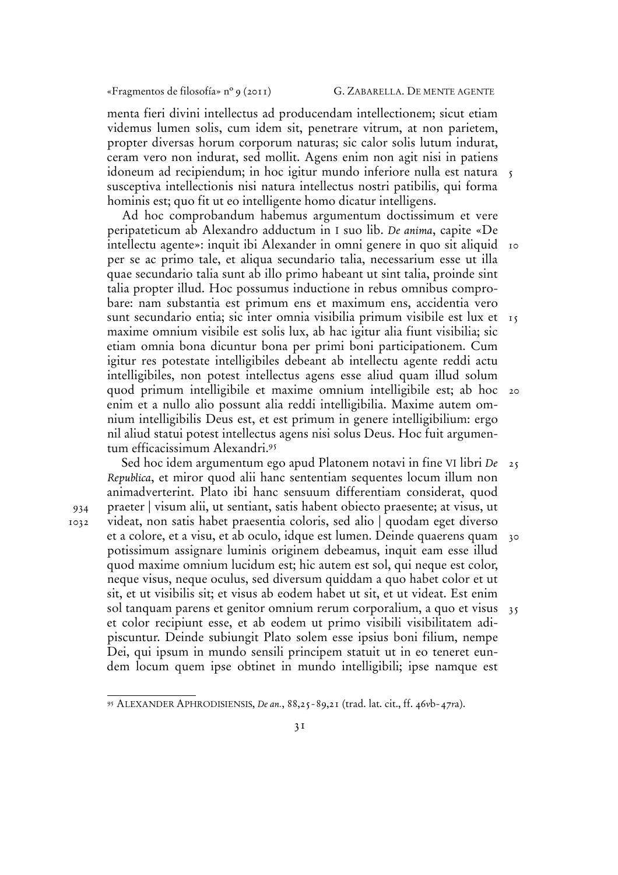menta fieri divini intellectus ad producendam intellectionem; sicut etiam videmus lumen solis, cum idem sit, penetrare vitrum, at non parietem, propter diversas horum corporum naturas; sic calor solis lutum indurat, ceram vero non indurat, sed mollit. Agens enim non agit nisi in patiens idoneum ad recipiendum; in hoc igitur mundo inferiore nulla est natura 5 susceptiva intellectionis nisi natura intellectus nostri patibilis, qui forma hominis est; quo fit ut eo intelligente homo dicatur intelligens.

Ad hoc comprobandum habemus argumentum doctissimum et vere peripateticum ab Alexandro adductum in I suo lib. *De anima*, capite «De intellectu agente»: inquit ibi Alexander in omni genere in quo sit aliquid 10 per se ac primo tale, et aliqua secundario talia, necessarium esse ut illa quae secundario talia sunt ab illo primo habeant ut sint talia, proinde sint talia propter illud. Hoc possumus inductione in rebus omnibus comprobare: nam substantia est primum ens et maximum ens, accidentia vero sunt secundario entia; sic inter omnia visibilia primum visibile est lux et 15 maxime omnium visibile est solis lux, ab hac igitur alia fiunt visibilia; sic etiam omnia bona dicuntur bona per primi boni participationem. Cum igitur res potestate intelligibiles debeant ab intellectu agente reddi actu intelligibiles, non potest intellectus agens esse aliud quam illud solum quod primum intelligibile et maxime omnium intelligibile est; ab hoc 20 enim et a nullo alio possunt alia reddi intelligibilia. Maxime autem omnium intelligibilis Deus est, et est primum in genere intelligibilium: ergo nil aliud statui potest intellectus agens nisi solus Deus. Hoc fuit argumentum efficacissimum Alexandri.<sup>95</sup>

Sed hoc idem argumentum ego apud Platonem notavi in fine VI libri *De* 25 *Republica*, et miror quod alii hanc sententiam sequentes locum illum non animadverterint. Plato ibi hanc sensuum differentiam considerat, quod 934 praeter | visum alii, ut sentiant, satis habent obiecto praesente; at visus, ut 1032 videat, non satis habet praesentia coloris, sed alio |quodam eget diverso et a colore, et a visu, et ab oculo, idque est lumen. Deinde quaerens quam 30 potissimum assignare luminis originem debeamus, inquit eam esse illud quod maxime omnium lucidum est; hic autem est sol, qui neque est color, neque visus, neque oculus, sed diversum quiddam a quo habet color et ut sit, et ut visibilis sit; et visus ab eodem habet ut sit, et ut videat. Est enim sol tanguam parens et genitor omnium rerum corporalium, a quo et visus  $35$ et color recipiunt esse, et ab eodem ut primo visibili visibilitatem adipiscuntur. Deinde subiungit Plato solem esse ipsius boni filium, nempe Dei, qui ipsum in mundo sensili principem statuit ut in eo teneret eundem locum quem ipse obtinet in mundo intelligibili; ipse namque est

<sup>95</sup> ALEXANDER APHRODISIENSIS, *De an.*, 88,25-89,21 (trad. lat. cit., ff. 46*v*b-47*r*a).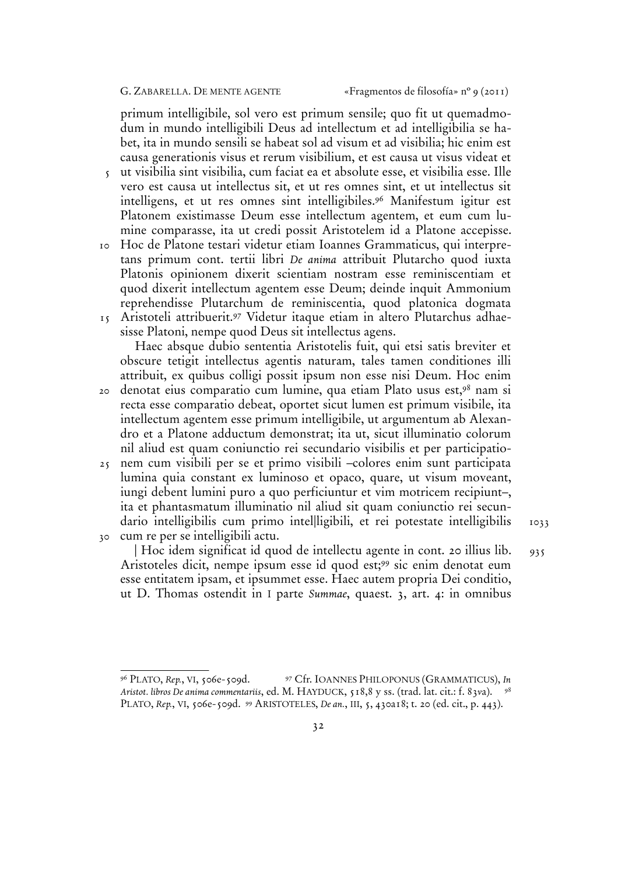primum intelligibile, sol vero est primum sensile; quo fit ut quemadmodum in mundo intelligibili Deus ad intellectum et ad intelligibilia se habet, ita in mundo sensili se habeat sol ad visum et ad visibilia; hic enim est causa generationis visus et rerum visibilium, et est causa ut visus videat et

- 5 ut visibilia sint visibilia, cum faciat ea et absolute esse, et visibilia esse. Ille vero est causa ut intellectus sit, et ut res omnes sint, et ut intellectus sit intelligens, et ut res omnes sint intelligibiles.<sup>96</sup> Manifestum igitur est Platonem existimasse Deum esse intellectum agentem, et eum cum lumine comparasse, ita ut credi possit Aristotelem id a Platone accepisse.
- 10 Hoc de Platone testari videtur etiam Ioannes Grammaticus, qui interpretans primum cont. tertii libri *De anima* attribuit Plutarcho quod iuxta Platonis opinionem dixerit scientiam nostram esse reminiscentiam et quod dixerit intellectum agentem esse Deum; deinde inquit Ammonium reprehendisse Plutarchum de reminiscentia, quod platonica dogmata 15 Aristoteli attribuerit.<sup>97</sup> Videtur itaque etiam in altero Plutarchus adhae-
- sisse Platoni, nempe quod Deus sit intellectus agens.

Haec absque dubio sententia Aristotelis fuit, qui etsi satis breviter et obscure tetigit intellectus agentis naturam, tales tamen conditiones illi attribuit, ex quibus colligi possit ipsum non esse nisi Deum. Hoc enim

- 20 denotat eius comparatio cum lumine, qua etiam Plato usus est,<sup>98</sup> nam si recta esse comparatio debeat, oportet sicut lumen est primum visibile, ita intellectum agentem esse primum intelligibile, ut argumentum ab Alexandro et a Platone adductum demonstrat; ita ut, sicut illuminatio colorum nil aliud est quam coniunctio rei secundario visibilis et per participatio-
- 25 nem cum visibili per se et primo visibili –colores enim sunt participata lumina quia constant ex luminoso et opaco, quare, ut visum moveant, iungi debent lumini puro a quo perficiuntur et vim motricem recipiunt–, ita et phantasmatum illuminatio nil aliud sit quam coniunctio rei secundario intelligibilis cum primo intel|ligibili, et rei potestate intelligibilis 1033 30 cum re per se intelligibili actu.

| Hoc idem significat id quod de intellectu agente in cont. 20 illius lib. 935 Aristoteles dicit, nempe ipsum esse id quod est;<sup>99</sup> sic enim denotat eum esse entitatem ipsam, et ipsummet esse. Haec autem propria Dei conditio, ut D. Thomas ostendit in I parte *Summae*, quaest. 3, art. 4: in omnibus

<sup>96</sup> PLATO, *Rep.*, VI, 506e-509d. <sup>97</sup> Cfr. IOANNES PHILOPONUS (GRAMMATICUS), *In Aristot. libros De anima commentariis*, ed. M. HAYDUCK, 518,8 y ss. (trad. lat. cit.: f. 83*v*a). 98 PLATO, *Rep.*, VI, 506e-509d. <sup>99</sup> ARISTOTELES, *De an.*, III, 5, 430a18; t. 20 (ed. cit., p. 443).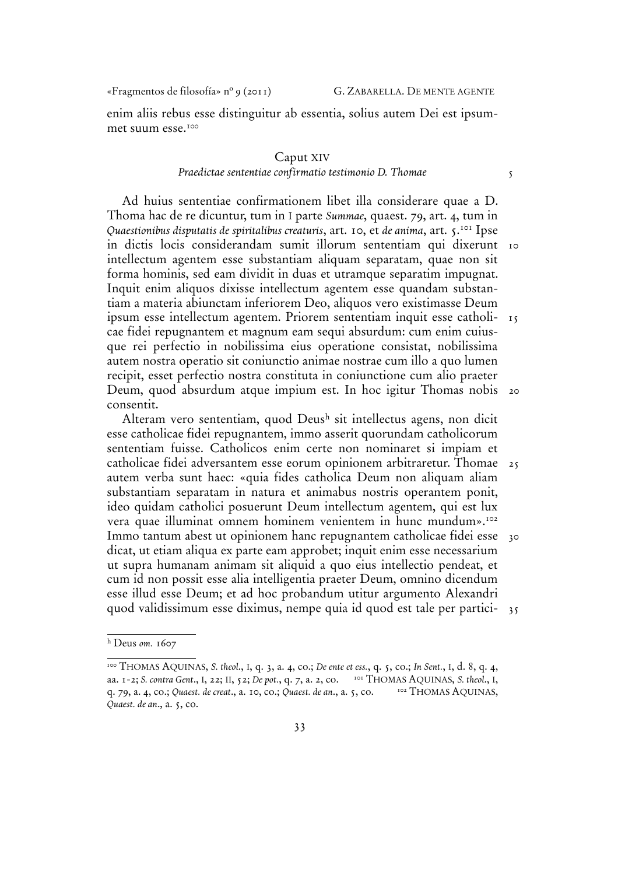enim aliis rebus esse distinguitur ab essentia, solius autem Dei est ipsummet suum esse.<sup>100</sup>

# Caput XIV

# *Praedictae sententiae confirmatio testimonio D. Thomae* 5

Ad huius sententiae confirmationem libet illa considerare quae a D. Thoma hac de re dicuntur, tum in I parte *Summae*, quaest. 79, art. 4, tum in *Quaestionibus disputatis de spiritalibus creaturis*, art. 10, et *de anima*, art. 5.<sup>101</sup> Ipse in dictis locis considerandam sumit illorum sententiam qui dixerunt 10 intellectum agentem esse substantiam aliquam separatam, quae non sit forma hominis, sed eam dividit in duas et utramque separatim impugnat. Inquit enim aliquos dixisse intellectum agentem esse quandam substantiam a materia abiunctam inferiorem Deo, aliquos vero existimasse Deum ipsum esse intellectum agentem. Priorem sententiam inquit esse catholi- 15 cae fidei repugnantem et magnum eam sequi absurdum: cum enim cuiusque rei perfectio in nobilissima eius operatione consistat, nobilissima autem nostra operatio sit coniunctio animae nostrae cum illo a quo lumen recipit, esset perfectio nostra constituta in coniunctione cum alio praeter Deum, quod absurdum atque impium est. In hoc igitur Thomas nobis 20 consentit.

Alteram vero sententiam, quod Deus<sup>h</sup> sit intellectus agens, non dicit esse catholicae fidei repugnantem, immo asserit quorundam catholicorum sententiam fuisse. Catholicos enim certe non nominaret si impiam et catholicae fidei adversantem esse eorum opinionem arbitraretur. Thomae 25 autem verba sunt haec: «quia fides catholica Deum non aliquam aliam substantiam separatam in natura et animabus nostris operantem ponit, ideo quidam catholici posuerunt Deum intellectum agentem, qui est lux vera quae illuminat omnem hominem venientem in hunc mundum».<sup>102</sup> Immo tantum abest ut opinionem hanc repugnantem catholicae fidei esse 30 dicat, ut etiam aliqua ex parte eam approbet; inquit enim esse necessarium ut supra humanam animam sit aliquid a quo eius intellectio pendeat, et cum id non possit esse alia intelligentia praeter Deum, omnino dicendum esse illud esse Deum; et ad hoc probandum utitur argumento Alexandri quod validissimum esse diximus, nempe quia id quod est tale per partici- 35

h Deus *om.* 1607

<sup>100</sup> THOMAS AQUINAS, *S. theol*., I, q. 3, a. 4, co.; *De ente et ess.*, q. 5, co.; *In Sent.*, I, d. 8, q. 4, aa. 1-2; *S. contra Gent*., I, 22; II, 52; *De pot.*, q. 7, a. 2, co. <sup>101</sup> THOMAS AQUINAS, *S. theol*., I, q. 79, a. 4, co.; *Quaest. de creat*., a. 10, co.; *Quaest. de an*., a. 5, co. 102 THOMAS AQUINAS, *Quaest. de an*., a. 5, co.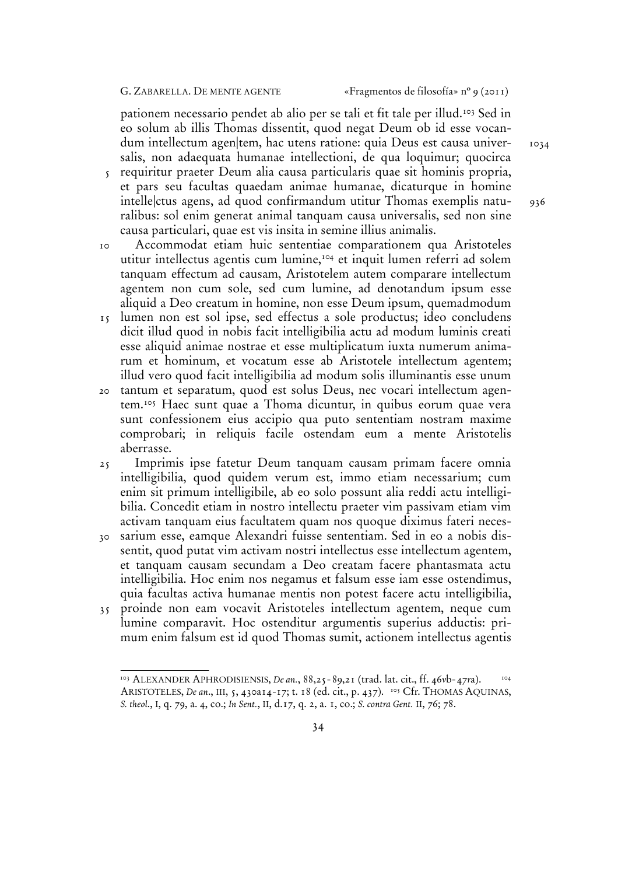pationem necessario pendet ab alio per se tali et fit tale per illud.<sup>103</sup> Sed in eo solum ab illis Thomas dissentit, quod negat Deum ob id esse vocandum intellectum agen|tem, hac utens ratione: quia Deus est causa univer- 1034 salis, non adaequata humanae intellectioni, de qua loquimur; quocirca

- 5 requiritur praeter Deum alia causa particularis quae sit hominis propria, et pars seu facultas quaedam animae humanae, dicaturque in homine intelle|ctus agens, ad quod confirmandum utitur Thomas exemplis natu- 936 ralibus: sol enim generat animal tanquam causa universalis, sed non sine causa particulari, quae est vis insita in semine illius animalis.
- 10 Accommodat etiam huic sententiae comparationem qua Aristoteles utitur intellectus agentis cum lumine,<sup>104</sup> et inquit lumen referri ad solem tanquam effectum ad causam, Aristotelem autem comparare intellectum agentem non cum sole, sed cum lumine, ad denotandum ipsum esse aliquid a Deo creatum in homine, non esse Deum ipsum, quemadmodum
- 15 lumen non est sol ipse, sed effectus a sole productus; ideo concludens dicit illud quod in nobis facit intelligibilia actu ad modum luminis creati esse aliquid animae nostrae et esse multiplicatum iuxta numerum animarum et hominum, et vocatum esse ab Aristotele intellectum agentem; illud vero quod facit intelligibilia ad modum solis illuminantis esse unum
- 20 tantum et separatum, quod est solus Deus, nec vocari intellectum agentem.<sup>105</sup> Haec sunt quae a Thoma dicuntur, in quibus eorum quae vera sunt confessionem eius accipio qua puto sententiam nostram maxime comprobari; in reliquis facile ostendam eum a mente Aristotelis aberrasse.
- 25 Imprimis ipse fatetur Deum tanquam causam primam facere omnia intelligibilia, quod quidem verum est, immo etiam necessarium; cum enim sit primum intelligibile, ab eo solo possunt alia reddi actu intelligibilia. Concedit etiam in nostro intellectu praeter vim passivam etiam vim activam tanquam eius facultatem quam nos quoque diximus fateri neces-
- 30 sarium esse, eamque Alexandri fuisse sententiam. Sed in eo a nobis dissentit, quod putat vim activam nostri intellectus esse intellectum agentem, et tanquam causam secundam a Deo creatam facere phantasmata actu intelligibilia. Hoc enim nos negamus et falsum esse iam esse ostendimus, quia facultas activa humanae mentis non potest facere actu intelligibilia,
- 35 proinde non eam vocavit Aristoteles intellectum agentem, neque cum lumine comparavit. Hoc ostenditur argumentis superius adductis: primum enim falsum est id quod Thomas sumit, actionem intellectus agentis

<sup>103</sup> ALEXANDER APHRODISIENSIS, *De an.*, 88,25-89,21 (trad. lat. cit., ff. 46*v*b-47*r*a). 104 ARISTOTELES, *De an*., III, 5, 430a14-17; t. 18 (ed. cit., p. 437). <sup>105</sup> Cfr. THOMAS AQUINAS, *S. theol*., I, q. 79, a. 4, co.; *In Sent.*, II, d.17, q. 2, a. 1, co.; *S. contra Gent.* II, 76; 78.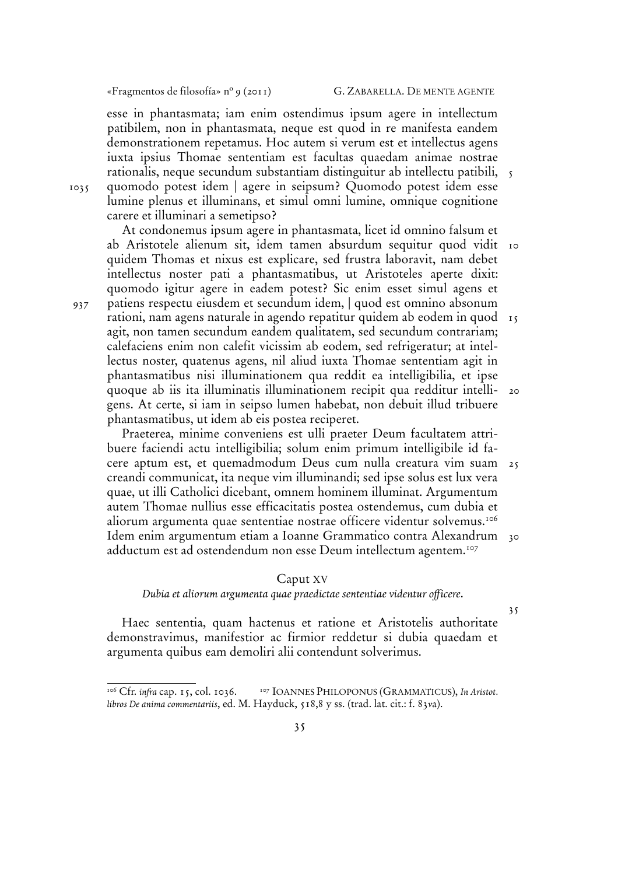esse in phantasmata; iam enim ostendimus ipsum agere in intellectum patibilem, non in phantasmata, neque est quod in re manifesta eandem demonstrationem repetamus. Hoc autem si verum est et intellectus agens iuxta ipsius Thomae sententiam est facultas quaedam animae nostrae rationalis, neque secundum substantiam distinguitur ab intellectu patibili, 5 1035 quomodo potest idem | agere in seipsum? Quomodo potest idem esse lumine plenus et illuminans, et simul omni lumine, omnique cognitione carere et illuminari a semetipso?

At condonemus ipsum agere in phantasmata, licet id omnino falsum et ab Aristotele alienum sit, idem tamen absurdum sequitur quod vidit 10 quidem Thomas et nixus est explicare, sed frustra laboravit, nam debet intellectus noster pati a phantasmatibus, ut Aristoteles aperte dixit: quomodo igitur agere in eadem potest? Sic enim esset simul agens et 937 patiens respectu eiusdem et secundum idem, | quod est omnino absonum rationi, nam agens naturale in agendo repatitur quidem ab eodem in quod 15 agit, non tamen secundum eandem qualitatem, sed secundum contrariam; calefaciens enim non calefit vicissim ab eodem, sed refrigeratur; at intellectus noster, quatenus agens, nil aliud iuxta Thomae sententiam agit in phantasmatibus nisi illuminationem qua reddit ea intelligibilia, et ipse quoque ab iis ita illuminatis illuminationem recipit qua redditur intelli- 20 gens. At certe, si iam in seipso lumen habebat, non debuit illud tribuere phantasmatibus, ut idem ab eis postea reciperet.

Praeterea, minime conveniens est ulli praeter Deum facultatem attribuere faciendi actu intelligibilia; solum enim primum intelligibile id facere aptum est, et quemadmodum Deus cum nulla creatura vim suam 25 creandi communicat, ita neque vim illuminandi; sed ipse solus est lux vera quae, utilli Catholici dicebant, omnem hominem illuminat. Argumentum autem Thomae nullius esse efficacitatis postea ostendemus, cum dubia et aliorum argumenta quae sententiae nostrae officere videntur solvemus.<sup>106</sup> Idem enim argumentum etiam a Ioanne Grammatico contra Alexandrum 30 adductum est ad ostendendum non esse Deum intellectum agentem.<sup>107</sup>

#### Caput XV

#### *Dubia et aliorum argumenta quae praedictae sententiae videntur officere*.

Haec sententia, quam hactenus et ratione et Aristotelis authoritate demonstravimus, manifestior ac firmior reddetur si dubia quaedam et argumenta quibus eam demoliri alii contendunt solverimus.

35

<sup>106</sup> Cfr. *infra* cap. 15, col. 1036. <sup>107</sup> IOANNES PHILOPONUS (GRAMMATICUS), *In Aristot. libros De anima commentariis*, ed. M. Hayduck, 518,8 y ss. (trad. lat. cit.: f. 83*v*a).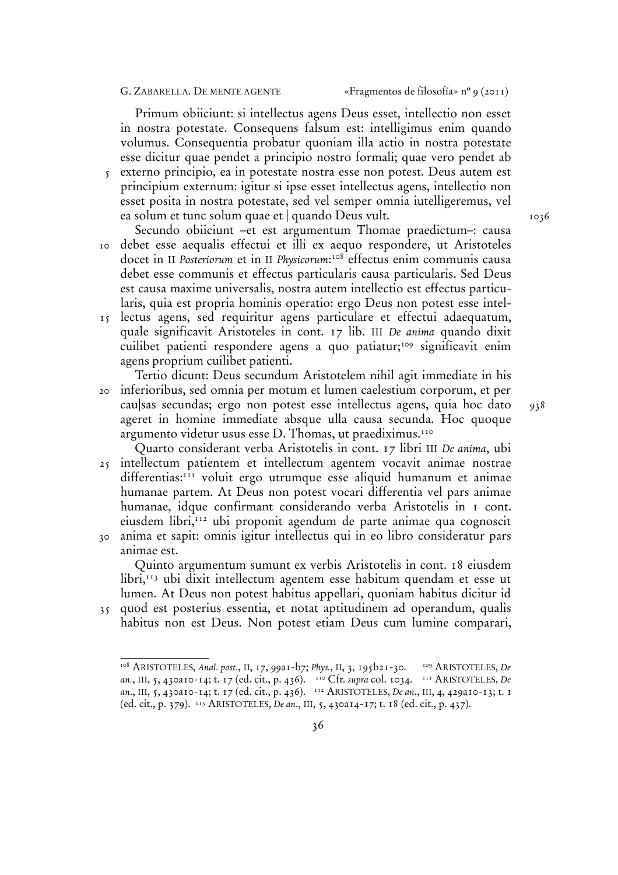#### G. ZABARELLA. DE MENTE AGENTE«Fragmentos de filosofía» nº 9 (2011)

Primum obiiciunt: si intellectus agens Deus esset, intellectio non esset in nostra potestate. Consequens falsum est: intelligimus enim quando volumus. Consequentia probatur quoniam illa actio in nostra potestate esse dicitur quae pendet a principio nostro formali; quae vero pendet ab

- 5 externo principio, ea in potestate nostra esse non potest. Deus autem est principium externum: igitur si ipse esset intellectus agens, intellectio non esset posita in nostra potestate, sed vel semper omnia iutelligeremus, vel ea solum et tunc solum quae et | quando Deus vult. 1036
- Secundo obiiciunt –et est argumentum Thomae praedictum–: causa 10 debet esse aequalis effectui et illi ex aequo respondere, ut Aristoteles docet in II *Posteriorum* et in II *Physicorum*: <sup>108</sup> effectus enim communis causa debet esse communis et effectus particularis causa particularis. Sed Deus est causa maxime universalis, nostra autem intellectio est effectus particularis, quia est propria hominis operatio: ergo Deus non potest esse intel-
- 15 lectus agens, sed requiritur agens particulare et effectui adaequatum, quale significavit Aristoteles in cont. 17 lib. III *De anima* quando dixit cuilibet patienti respondere agens a quo patiatur;<sup>109</sup> significavit enim agens proprium cuilibet patienti.
- Tertio dicunt: Deus secundum Aristotelem nihil agit immediate in his 20 inferioribus, sed omnia per motum et lumen caelestium corporum, et per cau|sas secundas; ergo non potest esse intellectus agens, quia hoc dato 938 ageret in homine immediate absque ulla causa secunda. Hoc quoque argumento videtur usus esse D. Thomas, ut praediximus.<sup>110</sup>
- Quarto considerant verba Aristotelis in cont. 17 libri III *De anima*, ubi 25 intellectum patientem et intellectum agentem vocavit animae nostrae differentias:<sup>111</sup> voluit ergo utrumque esse aliquid humanum et animae humanae partem. At Deus non potest vocari differentia vel pars animae humanae, idque confirmant considerando verba Aristotelis in 1 cont. eiusdem libri,<sup>112</sup> ubi proponit agendum de parte animae qua cognoscit 30 anima et sapit: omnis igitur intellectus qui in eo libro consideratur pars

animae est.

Quinto argumentum sumunt ex verbis Aristotelis in cont. 18 eiusdem libri,<sup>113</sup> ubi dixit intellectum agentem esse habitum quendam et esse ut lumen. At Deus non potest habitus appellari, quoniam habitus dicitur id

35 quod est posterius essentia, et notat aptitudinem ad operandum, qualis habitus non est Deus. Non potest etiam Deus cum lumine comparari,

<sup>108</sup> ARISTOTELES, *Anal. post.*, II, 17, 99a1-b7; *Phys.*, II, 3, 195b21-30. <sup>109</sup> ARISTOTELES, *De an.*, III, 5, 430a10-14; t. 17 (ed. cit., p. 436). <sup>110</sup> Cfr. *supra* col. 1034. <sup>111</sup> ARISTOTELES, *De an*., III, 5, 430a10-14; t. 17 (ed. cit., p. 436). <sup>112</sup> ARISTOTELES, *De an*., III, 4, 429a10-13; t. 1 (ed. cit., p. 379). <sup>113</sup> ARISTOTELES, *De an*., III, 5, 430a14-17; t. 18 (ed. cit., p. 437).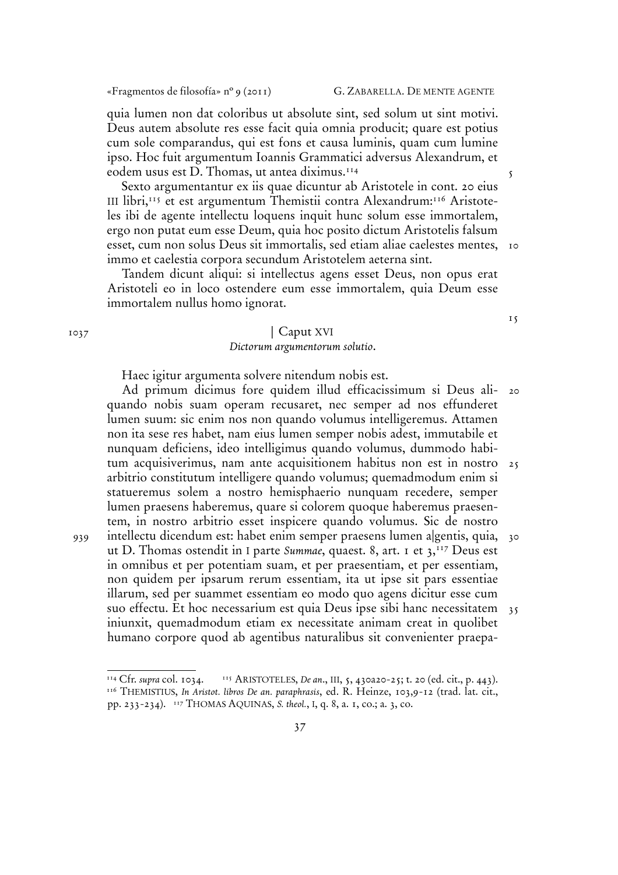quia lumen non dat coloribus ut absolute sint, sed solum ut sint motivi. Deus autem absolute res esse facit quia omnia producit; quare est potius cum sole comparandus, qui est fons et causa luminis, quam cum lumine ipso. Hoc fuit argumentum Ioannis Grammatici adversus Alexandrum, et eodem usus est D. Thomas, ut antea diximus.<sup> $114$ </sup>

Sexto argumentantur ex iis quae dicuntur ab Aristotele in cont. 20 eius III libri,<sup>115</sup> et est argumentum Themistii contra Alexandrum:<sup>116</sup> Aristoteles ibi de agente intellectu loquens inquit hunc solum esse immortalem, ergo non putat eum esse Deum, quia hoc posito dictum Aristotelis falsum esset, cum non solus Deus sit immortalis, sed etiam aliae caelestes mentes, 10 immo et caelestia corpora secundum Aristotelem aeterna sint.

Tandem dicunt aliqui: si intellectus agens esset Deus, non opus erat Aristoteli eo in loco ostendere eum esse immortalem, quia Deum esse immortalem nullus homo ignorat.

#### 1037 *|*Caput XVI

#### *Dictorum argumentorum solutio*.

Haec igitur argumenta solvere nitendum nobis est.

Ad primum dicimus fore quidem illud efficacissimum si Deus ali- 20 quando nobis suam operam recusaret, nec semper ad nos effunderet lumen suum: sic enim nos non quando volumus intelligeremus. Attamen non ita sese res habet, nam eius lumen semper nobis adest, immutabile et nunquam deficiens, ideo intelligimus quando volumus, dummodo habitum acquisiverimus, nam ante acquisitionem habitus non est in nostro 25 arbitrio constitutum intelligere quando volumus; quemadmodum enim si statueremus solem a nostro hemisphaerio nunquam recedere, semper lumen praesens haberemus, quare si colorem quoque haberemus praesentem, in nostro arbitrio esset inspicere quando volumus. Sic de nostro 939 intellectu dicendum est: habet enim semper praesens lumen a|gentis, quia, 30 ut D. Thomas ostendit in I parte *Summae*, quaest. 8, art. 1 et 3,<sup>117</sup> Deus est in omnibus et per potentiam suam, et per praesentiam, et per essentiam, non quidem per ipsarum rerum essentiam, ita ut ipse sit pars essentiae illarum, sed per suammet essentiam eo modo quo agens dicitur esse cum suo effectu. Et hoc necessarium est quia Deus ipse sibi hanc necessitatem 35 iniunxit, quemadmodum etiam ex necessitate animam creat in quolibet humano corpore quod ab agentibus naturalibus sit convenienter praepa-

15

<sup>114</sup> Cfr. *supra* col. 1034. <sup>115</sup> ARISTOTELES, *De an*., III, 5, 430a20-25; t. 20 (ed. cit., p. 443). <sup>116</sup> THEMISTIUS, *In Aristot. libros De an. paraphrasis*, ed. R. Heinze, 103,9-12 (trad. lat. cit., pp. 233-234). <sup>117</sup> THOMAS AQUINAS, *S. theol.*, I, q. 8, a. 1, co.; a. 3, co.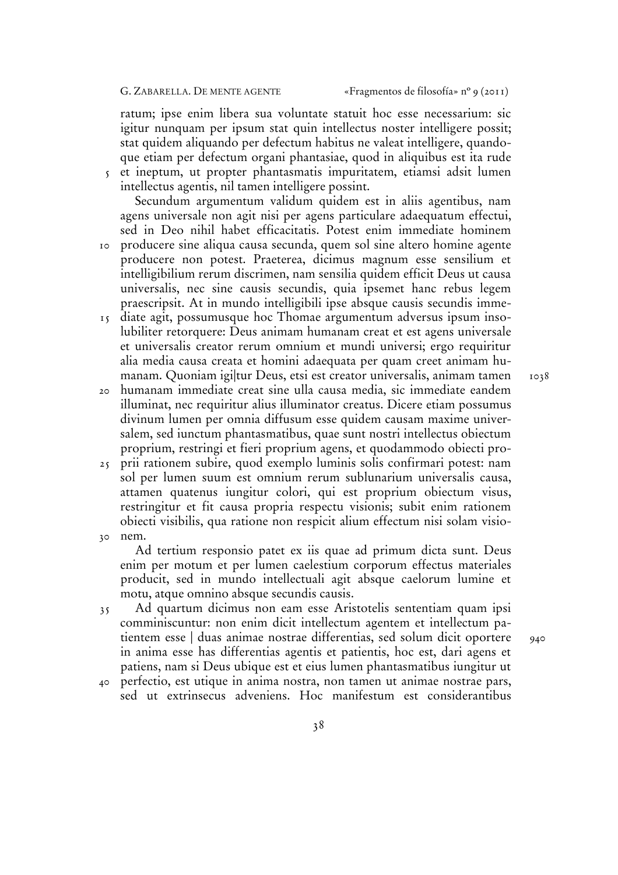ratum; ipse enim libera sua voluntate statuit hoc esse necessarium: sic igitur nunquam per ipsum stat quin intellectus noster intelligere possit; stat quidem aliquando per defectum habitus ne valeat intelligere, quandoque etiam per defectum organi phantasiae, quod in aliquibus est ita rude 5 et ineptum, ut propter phantasmatis impuritatem, etiamsi adsit lumen intellectus agentis, nil tamen intelligere possint.

Secundum argumentum validum quidem est in aliis agentibus, nam agens universale non agit nisi per agens particulare adaequatum effectui, sed in Deo nihil habet efficacitatis. Potest enim immediate hominem

- 10 producere sine aliqua causa secunda, quem sol sine altero homine agente producere non potest. Praeterea, dicimus magnum esse sensilium et intelligibilium rerum discrimen, nam sensilia quidem efficit Deus ut causa universalis, nec sine causis secundis, quia ipsemet hanc rebus legem praescripsit. At in mundo intelligibili ipse absque causis secundis imme-
- 15 diate agit, possumusque hoc Thomae argumentum adversus ipsum insolubiliter retorquere: Deus animam humanam creat et est agens universale et universalis creator rerum omnium et mundi universi; ergo requiritur alia media causa creata et homini adaequata per quam creet animam humanam. Quoniam igiltur Deus, etsi est creator universalis, animam tamen 1038
- 20 humanam immediate creat sine ulla causa media, sic immediate eandem illuminat, nec requiritur alius illuminator creatus. Dicere etiam possumus divinum lumen per omnia diffusum esse quidem causam maxime universalem, sed iunctum phantasmatibus, quae sunt nostri intellectus obiectum proprium, restringi et fieri proprium agens, et quodammodo obiecti pro-
- 25 prii rationem subire, quod exemplo luminis solis confirmari potest: nam sol per lumen suum est omnium rerum sublunarium universalis causa, attamen quatenus iungitur colori, qui est proprium obiectum visus, restringitur et fit causa propria respectu visionis; subit enim rationem obiecti visibilis, qua ratione non respicit alium effectum nisi solam visio-

30 nem.

Ad tertium responsio patet ex iis quae ad primum dicta sunt. Deus enim per motum et per lumen caelestium corporum effectus materiales producit, sed in mundo intellectuali agit absque caelorum lumine et motu, atque omnino absque secundis causis.

- 35 Ad quartum dicimus non eam esse Aristotelis sententiam quam ipsi comminiscuntur: non enim dicit intellectum agentem et intellectum patientem esse | duas animae nostrae differentias, sed solum dicit oportere 940 in anima esse has differentias agentis et patientis, hoc est, dari agens et patiens, nam si Deus ubique est et eius lumen phantasmatibus iungitur ut
- 40 perfectio, est utique in anima nostra, non tamen ut animae nostrae pars, sed ut extrinsecus adveniens. Hoc manifestum est considerantibus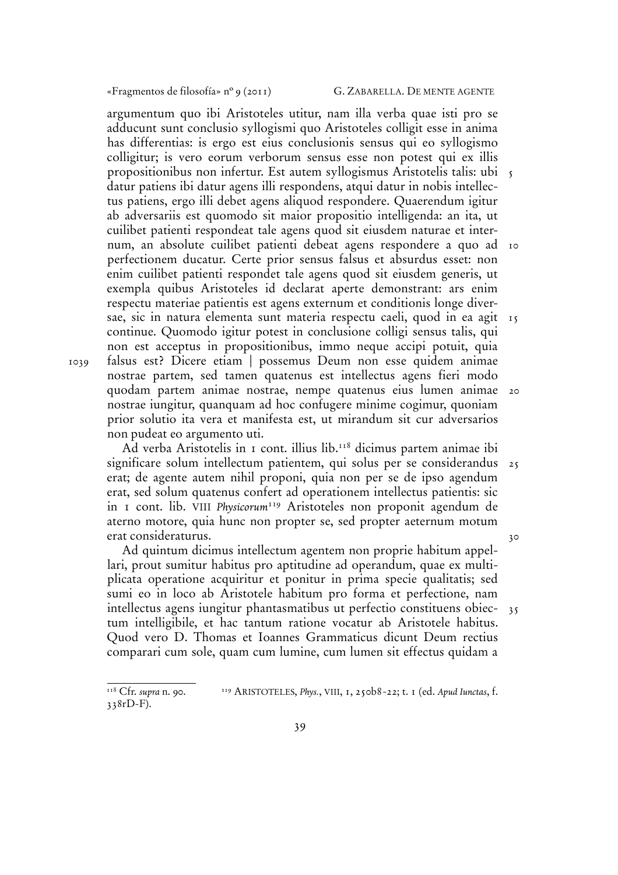argumentum quo ibi Aristoteles utitur, nam illa verba quae isti pro se adducunt sunt conclusio syllogismi quo Aristoteles colligit esse in anima has differentias: is ergo est eius conclusionis sensus qui eo syllogismo colligitur; is vero eorum verborum sensus esse non potest qui ex illis propositionibus non infertur. Est autem syllogismus Aristotelis talis: ubi 5 datur patiens ibi datur agens illi respondens, atqui datur in nobis intellectus patiens, ergo illi debet agens aliquod respondere. Quaerendum igitur ab adversariis est quomodo sit maior propositio intelligenda: an ita, ut cuilibet patienti respondeat tale agens quod sit eiusdem naturae et internum, an absolute cuilibet patienti debeat agens respondere a quo ad 10 perfectionem ducatur. Certe prior sensus falsus et absurdus esset: non enim cuilibet patienti respondet tale agens quod sit eiusdem generis, ut exempla quibus Aristoteles id declarat aperte demonstrant: ars enim respectu materiae patientis est agens externum et conditionis longe diversae, sic in natura elementa sunt materia respectu caeli, quod in ea agit 15 continue. Quomodo igitur potest in conclusione colligi sensus talis, qui non est acceptus in propositionibus, immo neque accipi potuit, quia 1039 falsus est? Dicere etiam | possemus Deum non esse quidem animae nostrae partem, sed tamen quatenus est intellectus agens fieri modo quodam partem animae nostrae, nempe quatenus eius lumen animae 20 nostrae iungitur, quanquam ad hoc confugere minime cogimur, quoniam prior solutio ita vera et manifesta est, ut mirandum sit cur adversarios non pudeat eo argumento uti.

Ad verba Aristotelis in 1 cont. illius lib.<sup>118</sup> dicimus partem animae ibi significare solum intellectum patientem, qui solus per se considerandus 25 erat; de agente autem nihil proponi, quia non per se de ipso agendum erat, sed solum quatenus confert ad operationem intellectus patientis: sic in 1 cont. lib. VIII *Physicorum*<sup>119</sup> Aristoteles non proponit agendum de aterno motore, quia hunc non propter se, sed propter aeternum motum erat consideraturus. 30

Ad quintum dicimus intellectum agentem non proprie habitum appellari, prout sumitur habitus pro aptitudine ad operandum, quae ex multiplicata operatione acquiritur et ponitur in prima specie qualitatis; sed sumi eo in loco ab Aristotele habitum pro forma et perfectione, nam intellectus agens iungitur phantasmatibus ut perfectio constituens obiec- 35 tum intelligibile, et hac tantum ratione vocatur ab Aristotele habitus. Quod vero D. Thomas et Ioannes Grammaticus dicunt Deum rectius comparari cum sole, quam cum lumine, cum lumen sit effectus quidam a

<sup>118</sup> Cfr. *supra* n. 90. <sup>119</sup> ARISTOTELES, *Phys.*, VIII, 1, 250b8-22; t. 1 (ed. *Apud Iunctas*, f. 338rD-F).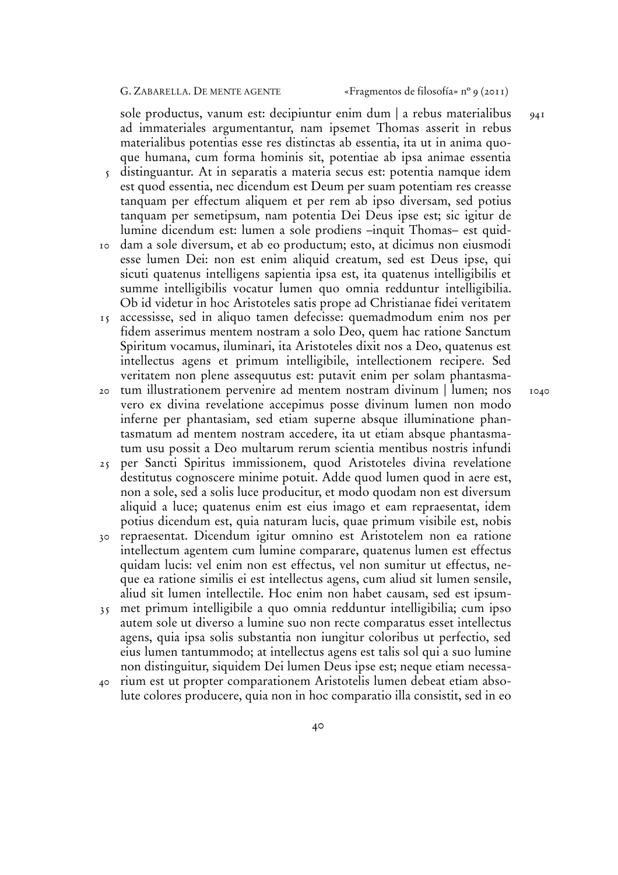sole productus, vanum est: decipiuntur enim dum  $|a|$  rebus materialibus  $941$ ad immateriales argumentantur, nam ipsemet Thomas asserit in rebus materialibus potentias esse res distinctas ab essentia, ita ut in anima quoque humana, cum forma hominis sit, potentiae ab ipsa animae essentia

- 5 distinguantur. At in separatis a materia secus est: potentia namque idem est quod essentia, nec dicendum est Deum per suam potentiam res creasse tanquam per effectum aliquem et per rem ab ipso diversam, sed potius tanquam per semetipsum, nam potentia Dei Deus ipse est; sic igitur de lumine dicendum est: lumen a sole prodiens –inquit Thomas– est quid-
- 10 dam a sole diversum, et ab eo productum; esto, at dicimus non eiusmodi esse lumen Dei: non est enim aliquid creatum, sed est Deus ipse, qui sicuti quatenus intelligens sapientia ipsa est, ita quatenus intelligibilis et summe intelligibilis vocatur lumen quo omnia redduntur intelligibilia. Ob id videtur in hoc Aristoteles satis prope ad Christianae fidei veritatem
- 15 accessisse, sed in aliquo tamen defecisse: quemadmodum enim nos per fidem asserimus mentem nostram a solo Deo, quem hac ratione Sanctum Spiritum vocamus, iluminari, ita Aristoteles dixit nos a Deo, quatenus est intellectus agens et primum intelligibile, intellectionem recipere. Sed veritatem non plene assequutus est: putavit enim per solam phantasma-
- 20 tum illustrationem pervenire ad mentem nostram divinum | lumen; nos 1040 vero ex divina revelatione accepimus posse divinum lumen non modo inferne per phantasiam, sed etiam superne absque illuminatione phantasmatum ad mentem nostram accedere, ita ut etiam absque phantasmatum usu possit a Deo multarum rerum scientia mentibus nostris infundi
- 25 per Sancti Spiritus immissionem, quod Aristoteles divina revelatione destitutus cognoscere minime potuit. Adde quod lumen quod in aere est, non a sole, sed a solis luce producitur, et modo quodam non est diversum aliquid a luce; quatenus enim est eius imago et eam repraesentat, idem potius dicendum est, quia naturam lucis, quae primum visibile est, nobis
- 30 repraesentat. Dicendum igitur omnino est Aristotelem non ea ratione intellectum agentem cum lumine comparare, quatenus lumen est effectus quidam lucis: vel enim non est effectus, vel non sumitur ut effectus, neque ea ratione similis ei est intellectus agens, cum aliud sit lumen sensile, aliud sit lumen intellectile. Hoc enim non habet causam, sed est ipsum-
- 35 met primum intelligibile a quo omnia redduntur intelligibilia; cum ipso autem sole ut diverso a lumine suo non recte comparatus esset intellectus agens, quia ipsa solis substantia non iungitur coloribus ut perfectio, sed eius lumen tantummodo; at intellectus agens est talis sol qui a suo lumine non distinguitur, siquidem Dei lumen Deus ipse est; neque etiam necessa-
- 40 rium est ut propter comparationem Aristotelis lumen debeat etiam absolute colores producere, quia non in hoc comparatio illa consistit, sed in eo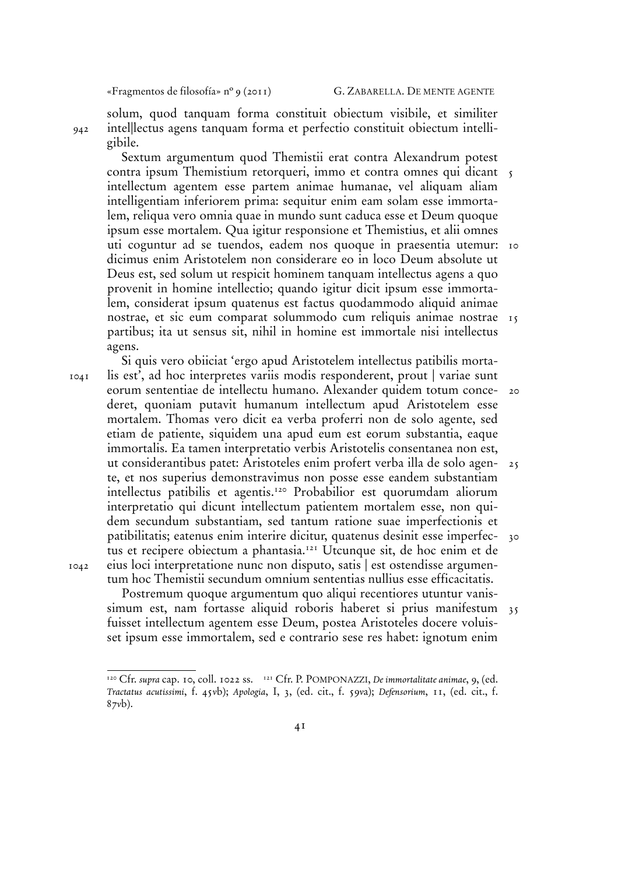solum, quod tanquam forma constituit obiectum visibile, et similiter 942 intel|lectus agens tanquam forma et perfectio constituit obiectum intelligibile.

Sextum argumentum quod Themistii erat contra Alexandrum potest contra ipsum Themistium retorqueri, immo et contra omnes qui dicant 5 intellectum agentem esse partem animae humanae, vel aliquam aliam intelligentiam inferiorem prima: sequitur enim eam solam esse immortalem, reliqua vero omnia quae in mundo sunt caduca esse et Deum quoque ipsum esse mortalem. Qua igitur responsione et Themistius, et alii omnes uti coguntur ad se tuendos, eadem nos quoque in praesentia utemur: 10 dicimus enim Aristotelem non considerare eo in loco Deum absolute ut Deus est, sed solum ut respicit hominem tanquam intellectus agens a quo provenit in homine intellectio; quando igitur dicit ipsum esse immortalem, considerat ipsum quatenus est factus quodammodo aliquid animae nostrae, et sic eum comparat solummodo cum reliquis animae nostrae 15 partibus; ita ut sensus sit, nihil in homine est immortale nisi intellectus agens.

Si quis vero obiiciat 'ergo apud Aristotelem intellectus patibilis morta-1041 lis est', ad hoc interpretes variis modis responderent, prout | variae sunt eorum sententiae de intellectu humano. Alexander quidem totum conce- 20 deret, quoniam putavit humanum intellectum apud Aristotelem esse mortalem. Thomas vero dicit ea verba proferri non de solo agente, sed etiam de patiente, siquidem una apud eum est eorum substantia, eaque immortalis. Ea tamen interpretatio verbis Aristotelis consentanea non est, ut considerantibus patet: Aristoteles enim profert verba illa de solo agen- 25 te, et nos superius demonstravimus non posse esse eandem substantiam intellectus patibilis et agentis.<sup>120</sup> Probabilior est quorumdam aliorum interpretatio qui dicunt intellectum patientem mortalem esse, non quidem secundum substantiam, sed tantum ratione suae imperfectionis et patibilitatis; eatenus enim interire dicitur, quatenus desinit esse imperfec- 30 tus et recipere obiectum a phantasia.<sup>121</sup> Utcunque sit, de hoc enim et de 1042 eius loci interpretatione nunc non disputo, satis |est ostendisse argumentum hoc Themistii secundum omnium sententias nullius esse efficacitatis.

Postremum quoque argumentum quo aliqui recentiores utuntur vanissimum est, nam fortasse aliquid roboris haberet si prius manifestum 35 fuisset intellectum agentem esse Deum, postea Aristoteles docere voluisset ipsum esse immortalem, sed e contrario sese res habet: ignotum enim

41

<sup>120</sup> Cfr. *supra* cap. 10, coll. 1022 ss. <sup>121</sup> Cfr. P. POMPONAZZI, *De immortalitate animae*, 9, (ed. *Tractatus acutissimi*, f. 45*v*b); *Apologia*, I, 3, (ed. cit., f. 59*v*a); *Defensorium*, 11, (ed. cit., f. 87*v*b).